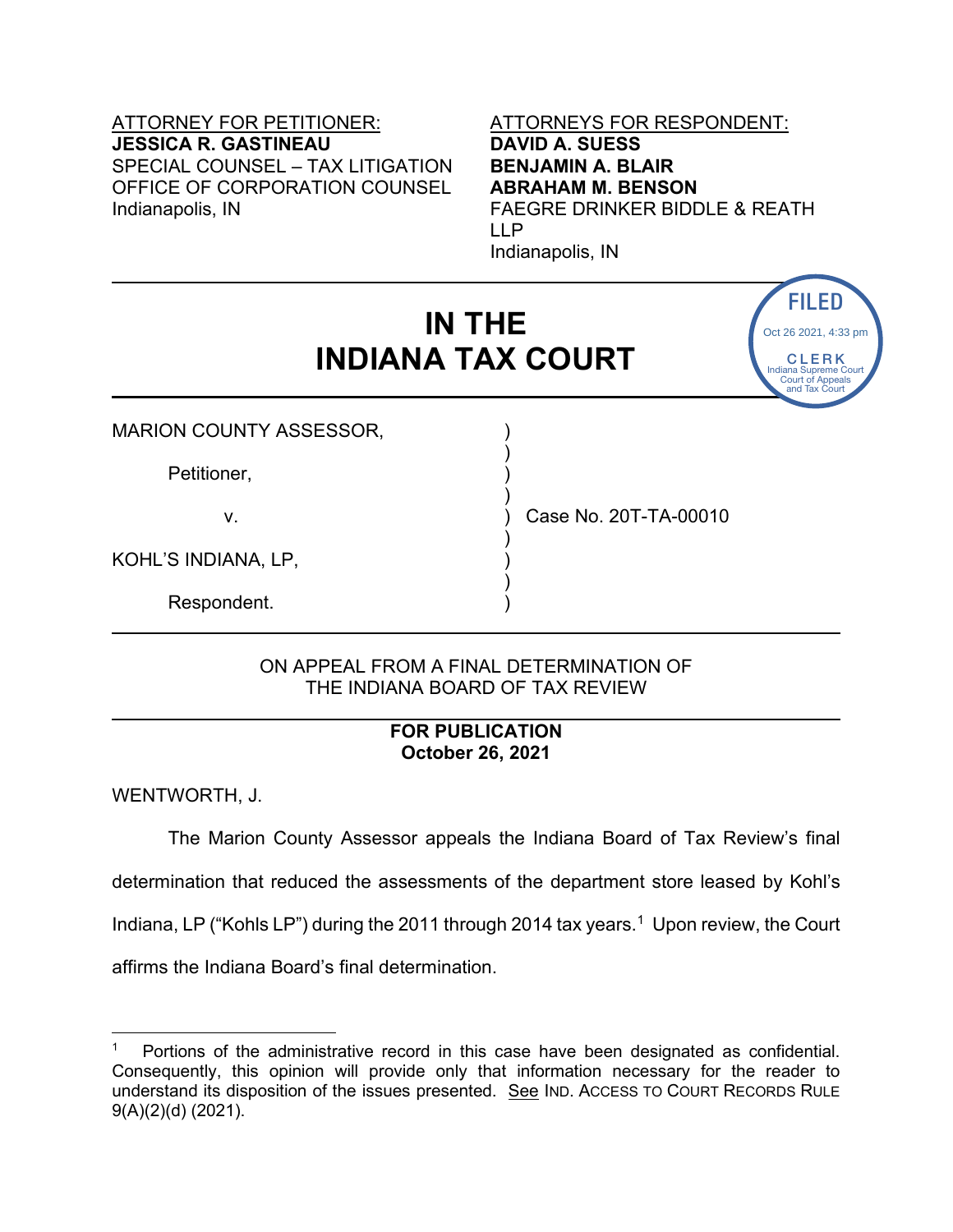# ATTORNEY FOR PETITIONER: ATTORNEYS FOR RESPONDENT: **JESSICA R. GASTINEAU DAVID A. SUESS** SPECIAL COUNSEL – TAX LITIGATION **BENJAMIN A. BLAIR** OFFICE OF CORPORATION COUNSEL **ABRAHAM M. BENSON** Indianapolis, IN FAEGRE DRINKER BIDDLE & REATH

# LLP Indianapolis, IN

CLERK ndiana Supreme Court Court of Appeals and Tax Court

Oct 26 2021, 4:33 pm

# **IN THE INDIANA TAX COURT**

)

)

)

) and the set of  $\overline{a}$ 

MARION COUNTY ASSESSOR,

Petitioner,

v. ) Case No. 20T-TA-00010

KOHL'S INDIANA, LP, )

Respondent. )

# ON APPEAL FROM A FINAL DETERMINATION OF THE INDIANA BOARD OF TAX REVIEW

# **FOR PUBLICATION October 26, 2021**

WENTWORTH, J.

The Marion County Assessor appeals the Indiana Board of Tax Review's final determination that reduced the assessments of the department store leased by Kohl's Indiana, LP ("Kohls LP") during the 20[1](#page-0-0)1 through 2014 tax years.<sup>1</sup> Upon review, the Court affirms the Indiana Board's final determination. **IN THE<br>
INDIANA TAX COURT**<br>
MARION COUNTY ASSESSOR,<br>
Petitioner,<br>
V.<br>
SCALE'S INDIANA, LP,<br>
Respondent.<br>
(ON APPEAL FROM A FINAL DETERMINATION OF<br>
THE INDIANA BOARD OF TAX REVIEW<br>
FINAL DETERMINATION OF<br>
THE INDIANA BOARD

<span id="page-0-0"></span><sup>1</sup> Portions of the administrative record in this case have been designated as confidential. Consequently, this opinion will provide only that information necessary for the reader to understand its disposition of the issues presented. See IND. ACCESS TO COURT RECORDS RULE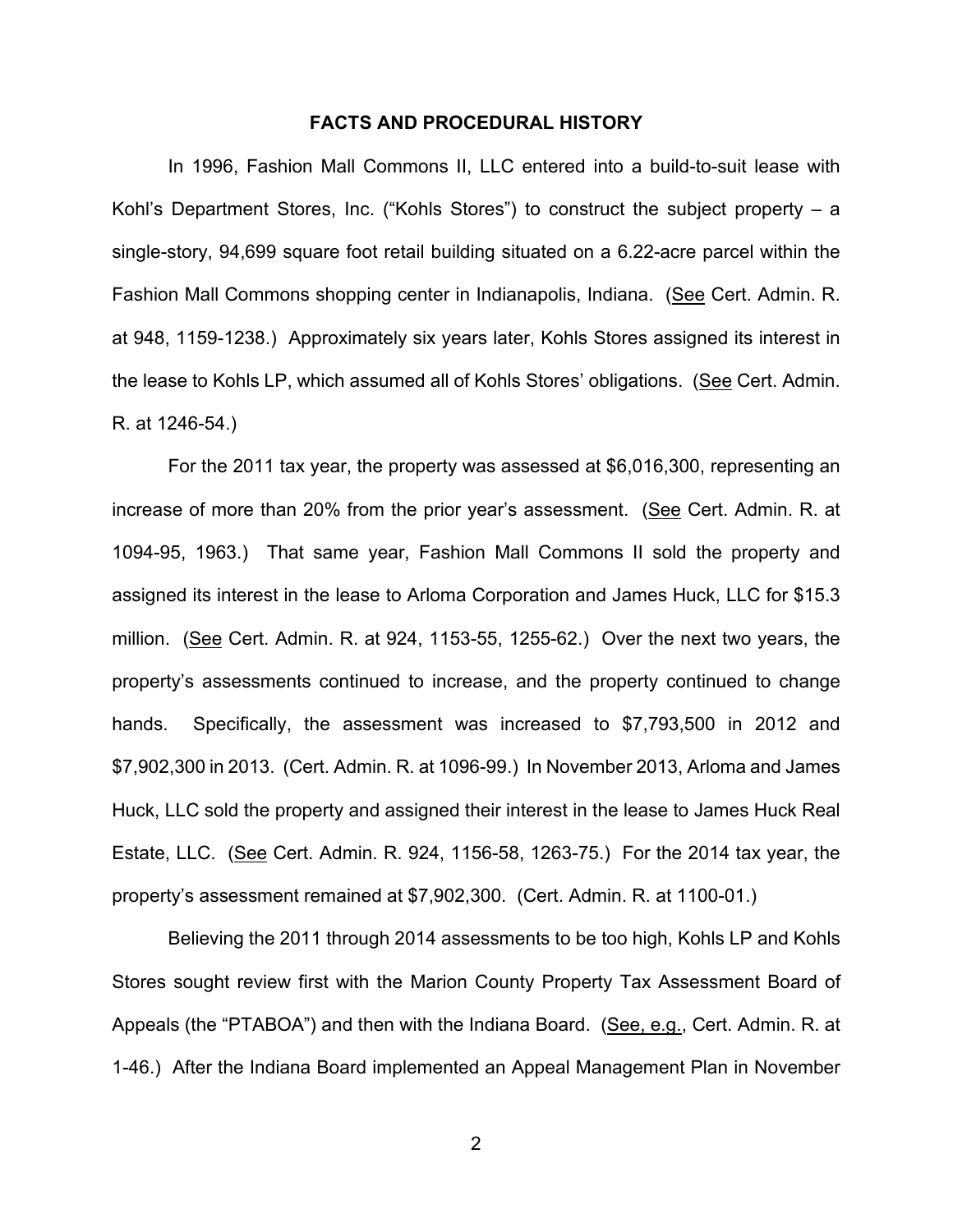#### **FACTS AND PROCEDURAL HISTORY**

In 1996, Fashion Mall Commons II, LLC entered into a build-to-suit lease with Kohl's Department Stores, Inc. ("Kohls Stores") to construct the subject property – a single-story, 94,699 square foot retail building situated on a 6.22-acre parcel within the Fashion Mall Commons shopping center in Indianapolis, Indiana. (See Cert. Admin. R. at 948, 1159-1238.) Approximately six years later, Kohls Stores assigned its interest in the lease to Kohls LP, which assumed all of Kohls Stores' obligations. (See Cert. Admin. R. at 1246-54.)

For the 2011 tax year, the property was assessed at \$6,016,300, representing an increase of more than 20% from the prior year's assessment. (See Cert. Admin. R. at 1094-95, 1963.) That same year, Fashion Mall Commons II sold the property and assigned its interest in the lease to Arloma Corporation and James Huck, LLC for \$15.3 million. (See Cert. Admin. R. at 924, 1153-55, 1255-62.) Over the next two years, the property's assessments continued to increase, and the property continued to change hands. Specifically, the assessment was increased to \$7,793,500 in 2012 and \$7,902,300 in 2013. (Cert. Admin. R. at 1096-99.) In November 2013, Arloma and James Huck, LLC sold the property and assigned their interest in the lease to James Huck Real Estate, LLC. (See Cert. Admin. R. 924, 1156-58, 1263-75.) For the 2014 tax year, the property's assessment remained at \$7,902,300. (Cert. Admin. R. at 1100-01.)

Believing the 2011 through 2014 assessments to be too high, Kohls LP and Kohls Stores sought review first with the Marion County Property Tax Assessment Board of Appeals (the "PTABOA") and then with the Indiana Board. (See, e.g., Cert. Admin. R. at 1-46.) After the Indiana Board implemented an Appeal Management Plan in November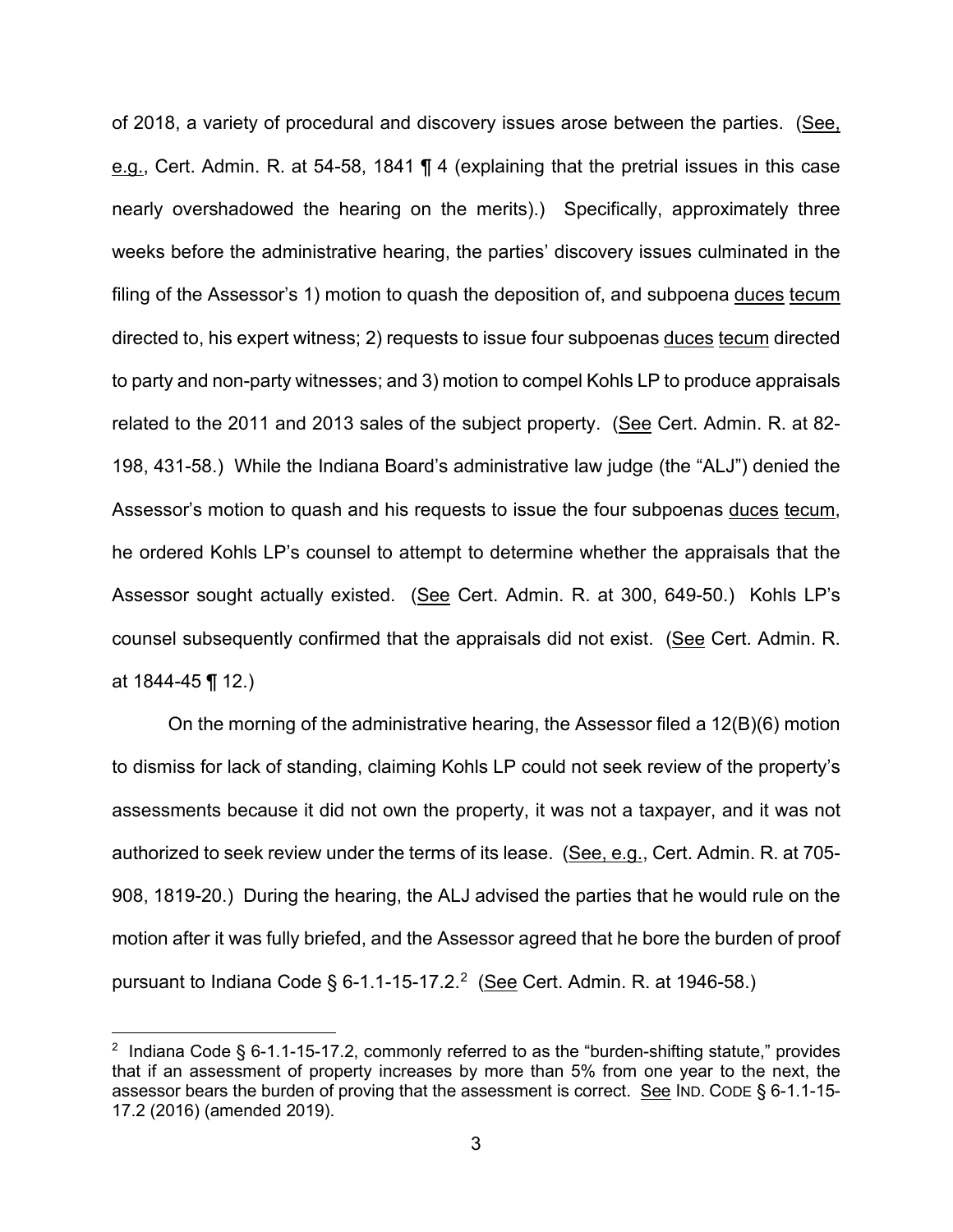of 2018, a variety of procedural and discovery issues arose between the parties. (See, e.g., Cert. Admin. R. at 54-58, 1841 ¶ 4 (explaining that the pretrial issues in this case nearly overshadowed the hearing on the merits).) Specifically, approximately three weeks before the administrative hearing, the parties' discovery issues culminated in the filing of the Assessor's 1) motion to quash the deposition of, and subpoena duces tecum directed to, his expert witness; 2) requests to issue four subpoenas duces tecum directed to party and non-party witnesses; and 3) motion to compel Kohls LP to produce appraisals related to the 2011 and 2013 sales of the subject property. (See Cert. Admin. R. at 82- 198, 431-58.) While the Indiana Board's administrative law judge (the "ALJ") denied the Assessor's motion to quash and his requests to issue the four subpoenas duces tecum, he ordered Kohls LP's counsel to attempt to determine whether the appraisals that the Assessor sought actually existed. (See Cert. Admin. R. at 300, 649-50.) Kohls LP's counsel subsequently confirmed that the appraisals did not exist. (See Cert. Admin. R. at 1844-45 ¶ 12.)

On the morning of the administrative hearing, the Assessor filed a 12(B)(6) motion to dismiss for lack of standing, claiming Kohls LP could not seek review of the property's assessments because it did not own the property, it was not a taxpayer, and it was not authorized to seek review under the terms of its lease. (See, e.g., Cert. Admin. R. at 705- 908, 1819-20.) During the hearing, the ALJ advised the parties that he would rule on the motion after it was fully briefed, and the Assessor agreed that he bore the burden of proof pursuant to Indiana Code § 6-1.1-15-17.2.<sup>2</sup> (<u>See</u> Cert. Admin. R. at 1946-58.)

<span id="page-2-0"></span> $2$  Indiana Code § 6-1.1-15-17.2, commonly referred to as the "burden-shifting statute," provides that if an assessment of property increases by more than 5% from one year to the next, the assessor bears the burden of proving that the assessment is correct. See IND. CODE § 6-1.1-15- 17.2 (2016) (amended 2019).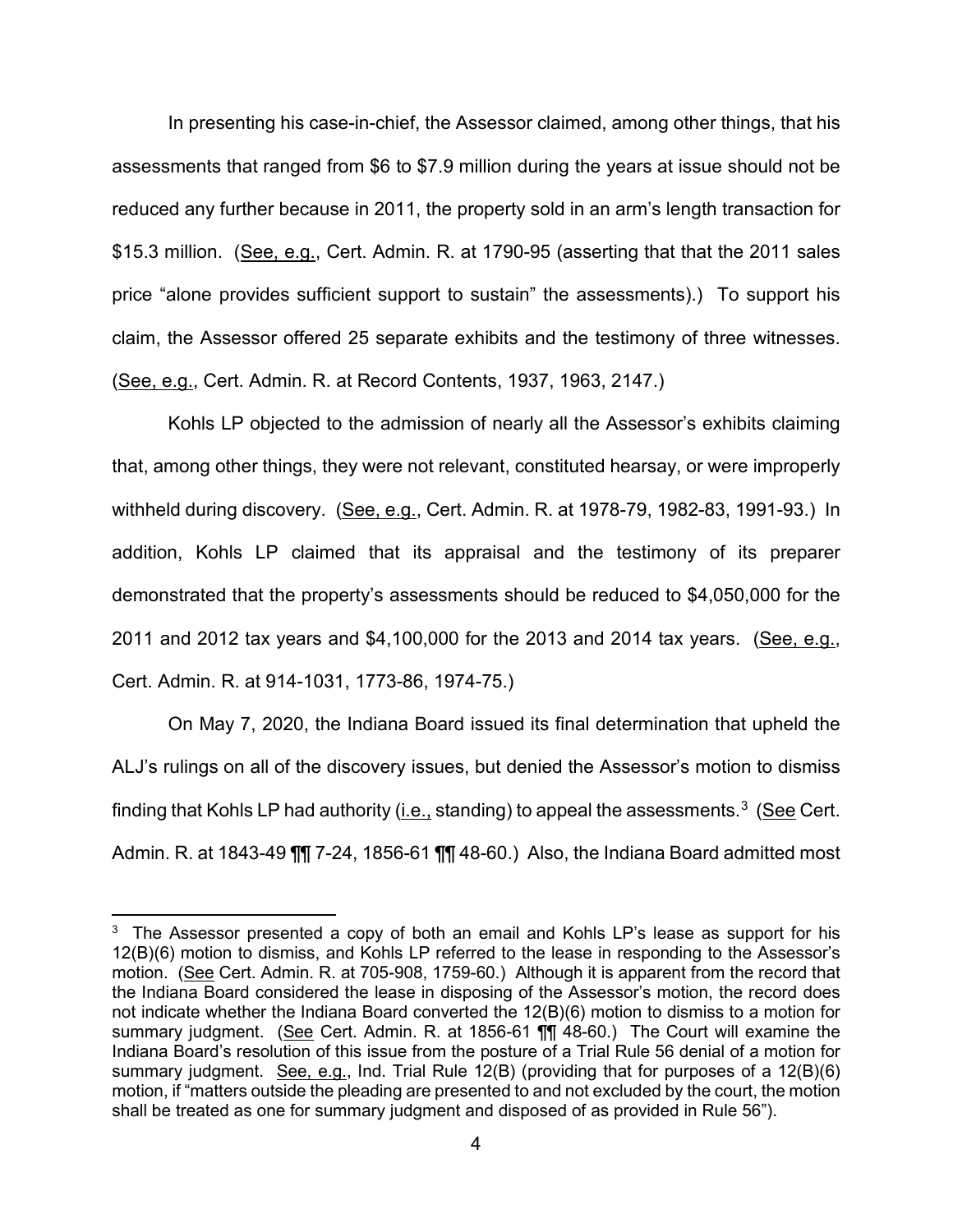In presenting his case-in-chief, the Assessor claimed, among other things, that his assessments that ranged from \$6 to \$7.9 million during the years at issue should not be reduced any further because in 2011, the property sold in an arm's length transaction for \$15.3 million. (See, e.g., Cert. Admin. R. at 1790-95 (asserting that that the 2011 sales price "alone provides sufficient support to sustain" the assessments).) To support his claim, the Assessor offered 25 separate exhibits and the testimony of three witnesses. (See, e.g., Cert. Admin. R. at Record Contents, 1937, 1963, 2147.)

Kohls LP objected to the admission of nearly all the Assessor's exhibits claiming that, among other things, they were not relevant, constituted hearsay, or were improperly withheld during discovery. (See, e.g., Cert. Admin. R. at 1978-79, 1982-83, 1991-93.) In addition, Kohls LP claimed that its appraisal and the testimony of its preparer demonstrated that the property's assessments should be reduced to \$4,050,000 for the 2011 and 2012 tax years and \$4,100,000 for the 2013 and 2014 tax years. (See, e.g., Cert. Admin. R. at 914-1031, 1773-86, 1974-75.)

On May 7, 2020, the Indiana Board issued its final determination that upheld the ALJ's rulings on all of the discovery issues, but denied the Assessor's motion to dismiss finding that Kohls LP had authority (<u>i.e.,</u> standing) to appeal the assessments. $^3$  (<u>See</u> Cert. Admin. R. at 1843-49 ¶¶ 7-24, 1856-61 ¶¶ 48-60.) Also, the Indiana Board admitted most

<span id="page-3-0"></span> $3$  The Assessor presented a copy of both an email and Kohls LP's lease as support for his 12(B)(6) motion to dismiss, and Kohls LP referred to the lease in responding to the Assessor's motion. (See Cert. Admin. R. at 705-908, 1759-60.) Although it is apparent from the record that the Indiana Board considered the lease in disposing of the Assessor's motion, the record does not indicate whether the Indiana Board converted the 12(B)(6) motion to dismiss to a motion for summary judgment. (See Cert. Admin. R. at 1856-61 ¶¶ 48-60.) The Court will examine the Indiana Board's resolution of this issue from the posture of a Trial Rule 56 denial of a motion for summary judgment. See, e.g., Ind. Trial Rule 12(B) (providing that for purposes of a 12(B)(6) motion, if "matters outside the pleading are presented to and not excluded by the court, the motion shall be treated as one for summary judgment and disposed of as provided in Rule 56").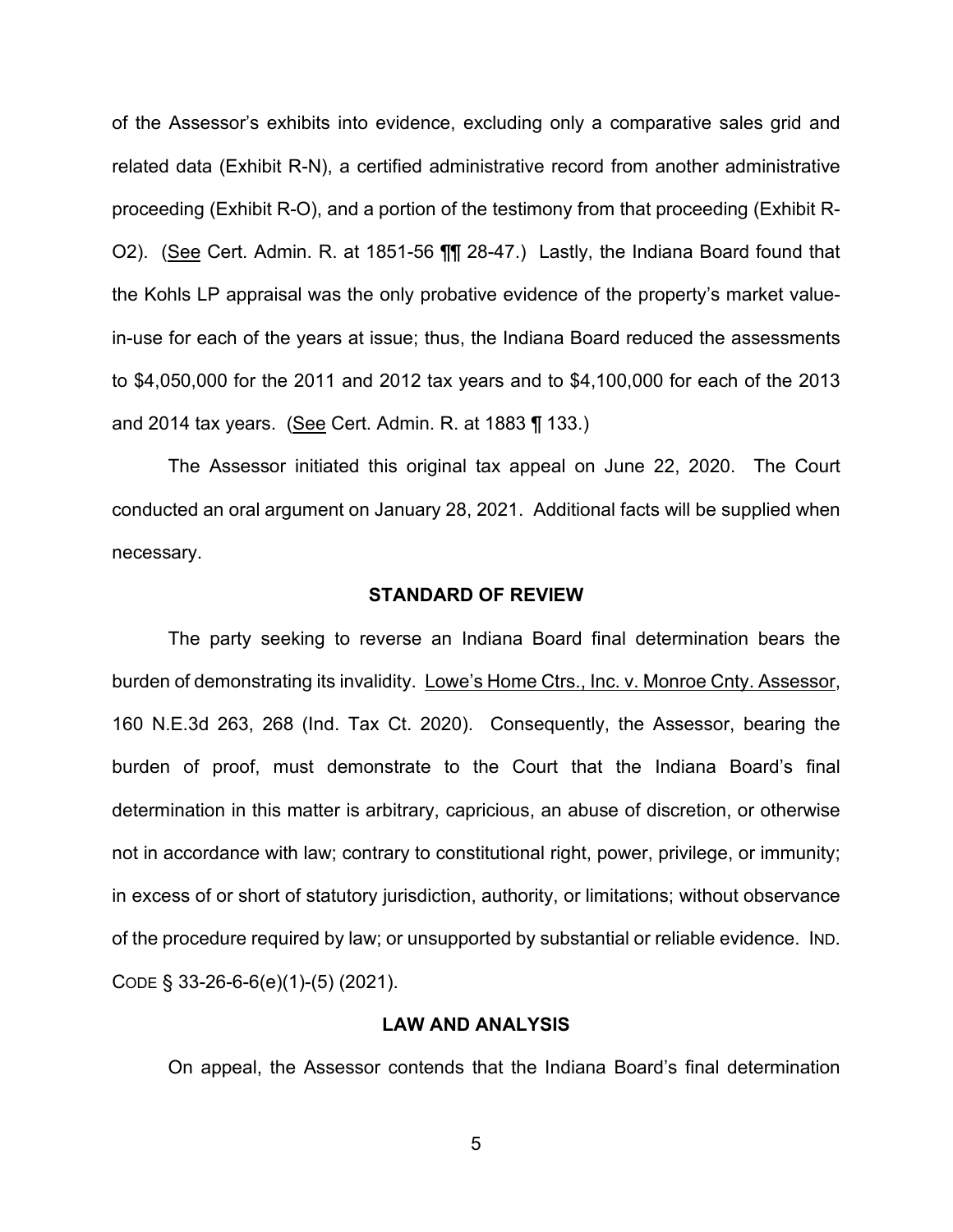of the Assessor's exhibits into evidence, excluding only a comparative sales grid and related data (Exhibit R-N), a certified administrative record from another administrative proceeding (Exhibit R-O), and a portion of the testimony from that proceeding (Exhibit R-O2). (See Cert. Admin. R. at 1851-56 ¶¶ 28-47.) Lastly, the Indiana Board found that the Kohls LP appraisal was the only probative evidence of the property's market valuein-use for each of the years at issue; thus, the Indiana Board reduced the assessments to \$4,050,000 for the 2011 and 2012 tax years and to \$4,100,000 for each of the 2013 and 2014 tax years. (See Cert. Admin. R. at 1883 ¶ 133.)

The Assessor initiated this original tax appeal on June 22, 2020. The Court conducted an oral argument on January 28, 2021. Additional facts will be supplied when necessary.

#### **STANDARD OF REVIEW**

The party seeking to reverse an Indiana Board final determination bears the burden of demonstrating its invalidity. Lowe's Home Ctrs., Inc. v. Monroe Cnty. Assessor, 160 N.E.3d 263, 268 (Ind. Tax Ct. 2020). Consequently, the Assessor, bearing the burden of proof, must demonstrate to the Court that the Indiana Board's final determination in this matter is arbitrary, capricious, an abuse of discretion, or otherwise not in accordance with law; contrary to constitutional right, power, privilege, or immunity; in excess of or short of statutory jurisdiction, authority, or limitations; without observance of the procedure required by law; or unsupported by substantial or reliable evidence. IND. CODE § 33-26-6-6(e)(1)-(5) (2021).

# **LAW AND ANALYSIS**

On appeal, the Assessor contends that the Indiana Board's final determination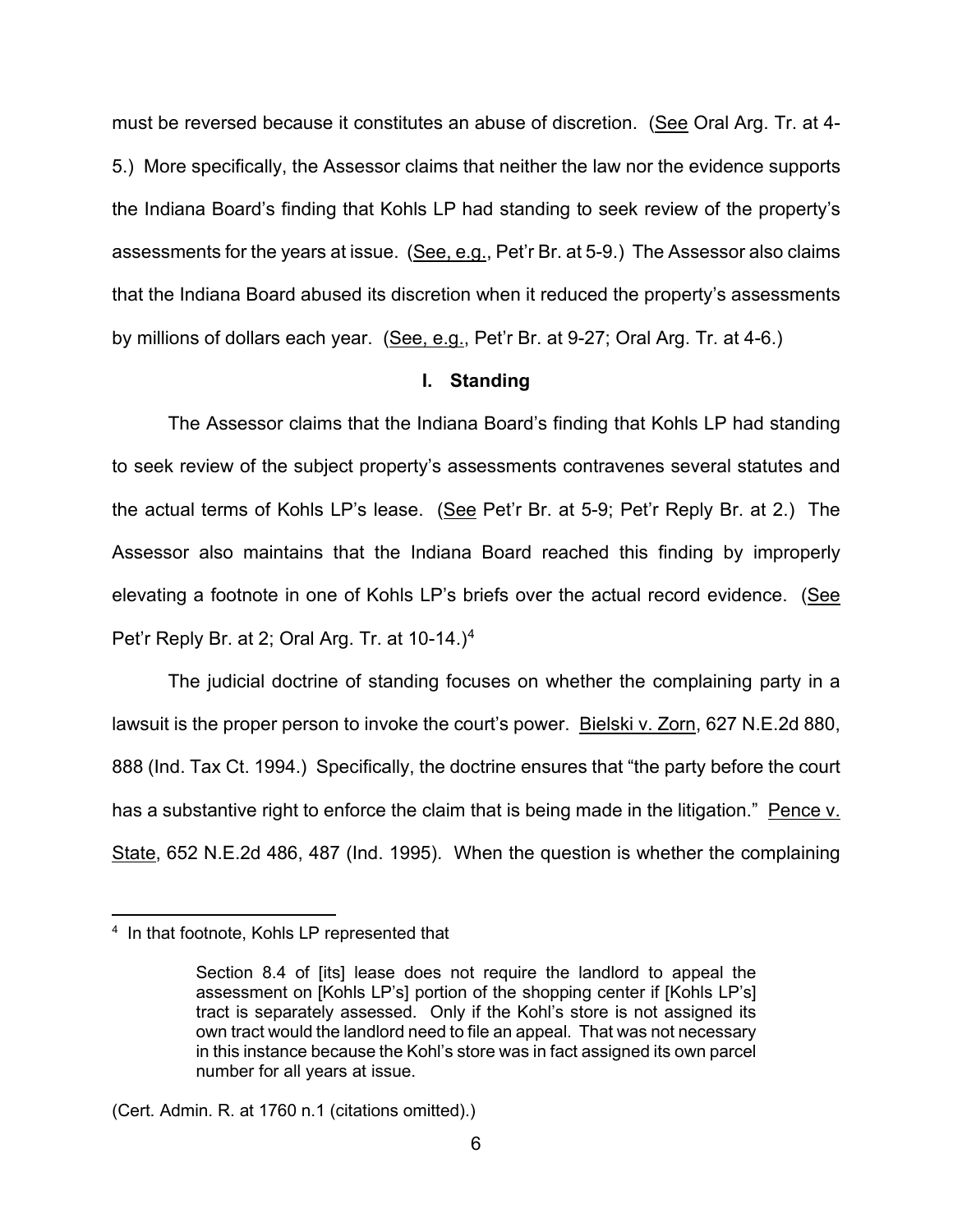must be reversed because it constitutes an abuse of discretion. (See Oral Arg. Tr. at 4- 5.) More specifically, the Assessor claims that neither the law nor the evidence supports the Indiana Board's finding that Kohls LP had standing to seek review of the property's assessments for the years at issue. (See, e.g., Pet'r Br. at 5-9.) The Assessor also claims that the Indiana Board abused its discretion when it reduced the property's assessments by millions of dollars each year. (See, e.g., Pet'r Br. at 9-27; Oral Arg. Tr. at 4-6.)

# **I. Standing**

The Assessor claims that the Indiana Board's finding that Kohls LP had standing to seek review of the subject property's assessments contravenes several statutes and the actual terms of Kohls LP's lease. (See Pet'r Br. at 5-9; Pet'r Reply Br. at 2.) The Assessor also maintains that the Indiana Board reached this finding by improperly elevating a footnote in one of Kohls LP's briefs over the actual record evidence. (See Pet'r Reply Br. at 2; Oral Arg. Tr. at 10-14.)[4](#page-5-0)

The judicial doctrine of standing focuses on whether the complaining party in a lawsuit is the proper person to invoke the court's power. Bielski v. Zorn, 627 N.E.2d 880, 888 (Ind. Tax Ct. 1994.) Specifically, the doctrine ensures that "the party before the court has a substantive right to enforce the claim that is being made in the litigation." Pence v. State, 652 N.E.2d 486, 487 (Ind. 1995). When the question is whether the complaining

<span id="page-5-0"></span><sup>4</sup> In that footnote, Kohls LP represented that

Section 8.4 of [its] lease does not require the landlord to appeal the assessment on [Kohls LP's] portion of the shopping center if [Kohls LP's] tract is separately assessed. Only if the Kohl's store is not assigned its own tract would the landlord need to file an appeal. That was not necessary in this instance because the Kohl's store was in fact assigned its own parcel number for all years at issue.

<sup>(</sup>Cert. Admin. R. at 1760 n.1 (citations omitted).)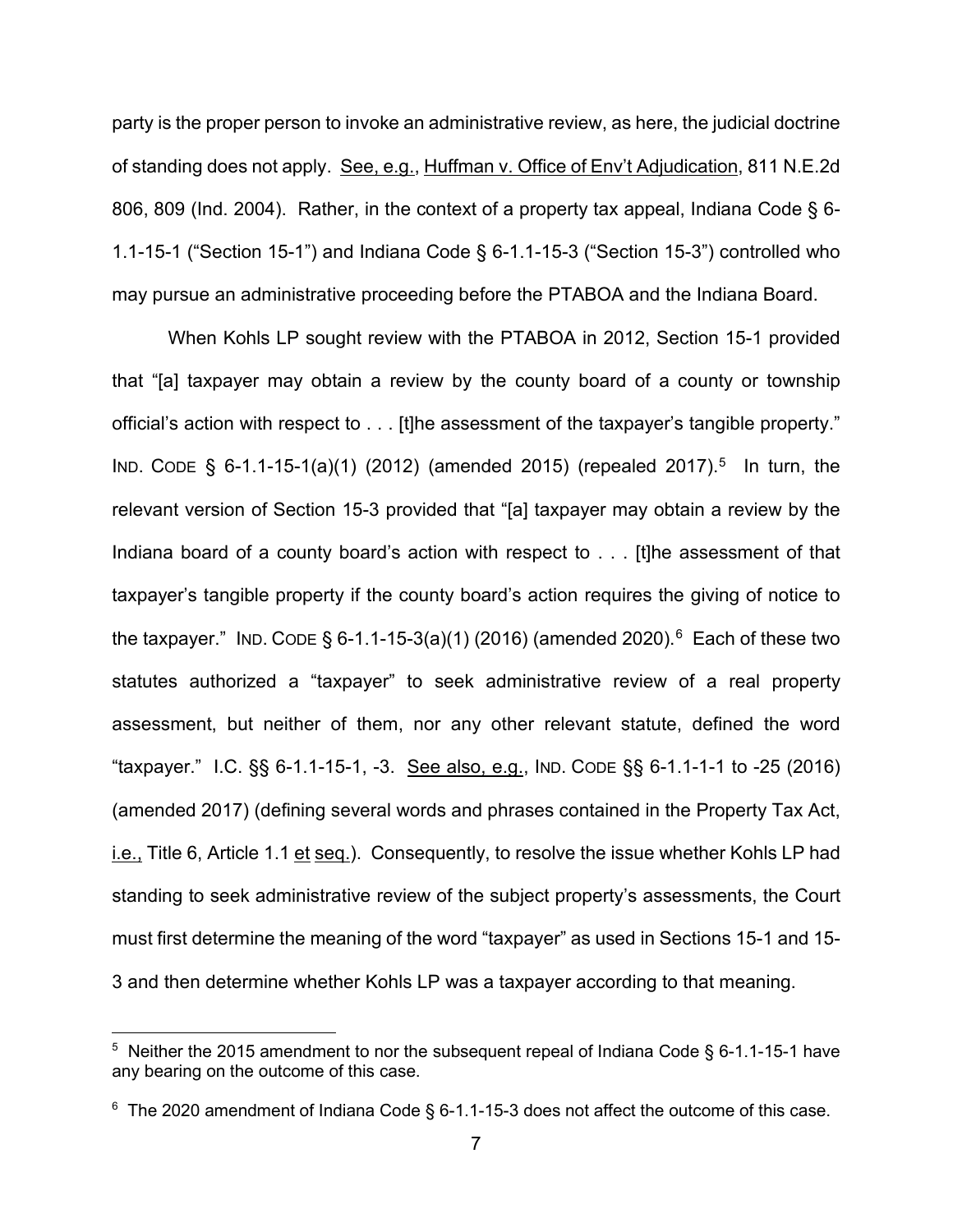party is the proper person to invoke an administrative review, as here, the judicial doctrine of standing does not apply. See, e.g., Huffman v. Office of Env't Adjudication, 811 N.E.2d 806, 809 (Ind. 2004). Rather, in the context of a property tax appeal, Indiana Code § 6- 1.1-15-1 ("Section 15-1") and Indiana Code § 6-1.1-15-3 ("Section 15-3") controlled who may pursue an administrative proceeding before the PTABOA and the Indiana Board.

When Kohls LP sought review with the PTABOA in 2012, Section 15-1 provided that "[a] taxpayer may obtain a review by the county board of a county or township official's action with respect to . . . [t]he assessment of the taxpayer's tangible property." IND. CODE § 6-1.1-15-1(a)(1) (2012) (amended 2015) (repealed 2017).<sup>5</sup> In turn, the relevant version of Section 15-3 provided that "[a] taxpayer may obtain a review by the Indiana board of a county board's action with respect to . . . [t]he assessment of that taxpayer's tangible property if the county board's action requires the giving of notice to the taxpayer." IND. CODE § 6-1.1-15-3(a)(1) (2016) (amended 2020).<sup>6</sup> Each of these two statutes authorized a "taxpayer" to seek administrative review of a real property assessment, but neither of them, nor any other relevant statute, defined the word "taxpayer." I.C. §§ 6-1.1-15-1, -3. See also, e.g., IND. CODE §§ 6-1.1-1-1 to -25 (2016) (amended 2017) (defining several words and phrases contained in the Property Tax Act, i.e., Title 6, Article 1.1 et seq.). Consequently, to resolve the issue whether Kohls LP had standing to seek administrative review of the subject property's assessments, the Court must first determine the meaning of the word "taxpayer" as used in Sections 15-1 and 15- 3 and then determine whether Kohls LP was a taxpayer according to that meaning.

<span id="page-6-0"></span> $5$  Neither the 2015 amendment to nor the subsequent repeal of Indiana Code  $\S$  6-1.1-15-1 have any bearing on the outcome of this case.

<span id="page-6-1"></span> $^{\rm 6}$  The 2020 amendment of Indiana Code § 6-1.1-15-3 does not affect the outcome of this case.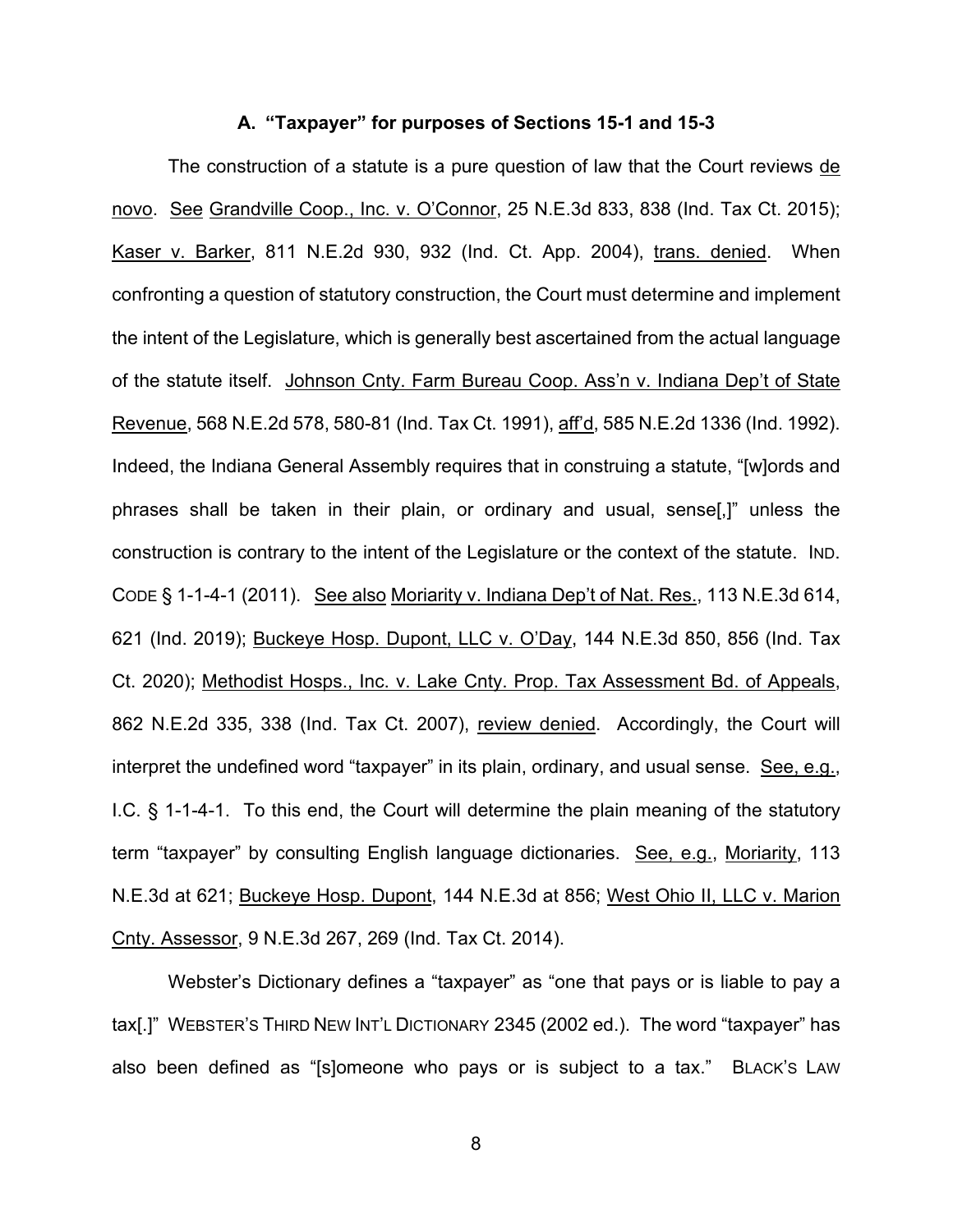#### **A. "Taxpayer" for purposes of Sections 15-1 and 15-3**

The construction of a statute is a pure question of law that the Court reviews de novo. See Grandville Coop., Inc. v. O'Connor, 25 N.E.3d 833, 838 (Ind. Tax Ct. 2015); Kaser v. Barker, 811 N.E.2d 930, 932 (Ind. Ct. App. 2004), trans. denied. When confronting a question of statutory construction, the Court must determine and implement the intent of the Legislature, which is generally best ascertained from the actual language of the statute itself. Johnson Cnty. Farm Bureau Coop. Ass'n v. Indiana Dep't of State Revenue, 568 N.E.2d 578, 580-81 (Ind. Tax Ct. 1991), aff'd, 585 N.E.2d 1336 (Ind. 1992). Indeed, the Indiana General Assembly requires that in construing a statute, "[w]ords and phrases shall be taken in their plain, or ordinary and usual, sense[,]" unless the construction is contrary to the intent of the Legislature or the context of the statute. IND. CODE § 1-1-4-1 (2011). See also Moriarity v. Indiana Dep't of Nat. Res., 113 N.E.3d 614, 621 (Ind. 2019); Buckeye Hosp. Dupont, LLC v. O'Day, 144 N.E.3d 850, 856 (Ind. Tax Ct. 2020); Methodist Hosps., Inc. v. Lake Cnty. Prop. Tax Assessment Bd. of Appeals, 862 N.E.2d 335, 338 (Ind. Tax Ct. 2007), review denied. Accordingly, the Court will interpret the undefined word "taxpayer" in its plain, ordinary, and usual sense. See, e.g., I.C. § 1-1-4-1. To this end, the Court will determine the plain meaning of the statutory term "taxpayer" by consulting English language dictionaries. See, e.g., Moriarity, 113 N.E.3d at 621; Buckeye Hosp. Dupont, 144 N.E.3d at 856; West Ohio II, LLC v. Marion Cnty. Assessor, 9 N.E.3d 267, 269 (Ind. Tax Ct. 2014).

Webster's Dictionary defines a "taxpayer" as "one that pays or is liable to pay a tax[.]" WEBSTER'S THIRD NEW INT'L DICTIONARY 2345 (2002 ed.). The word "taxpayer" has also been defined as "[s]omeone who pays or is subject to a tax." BLACK'S LAW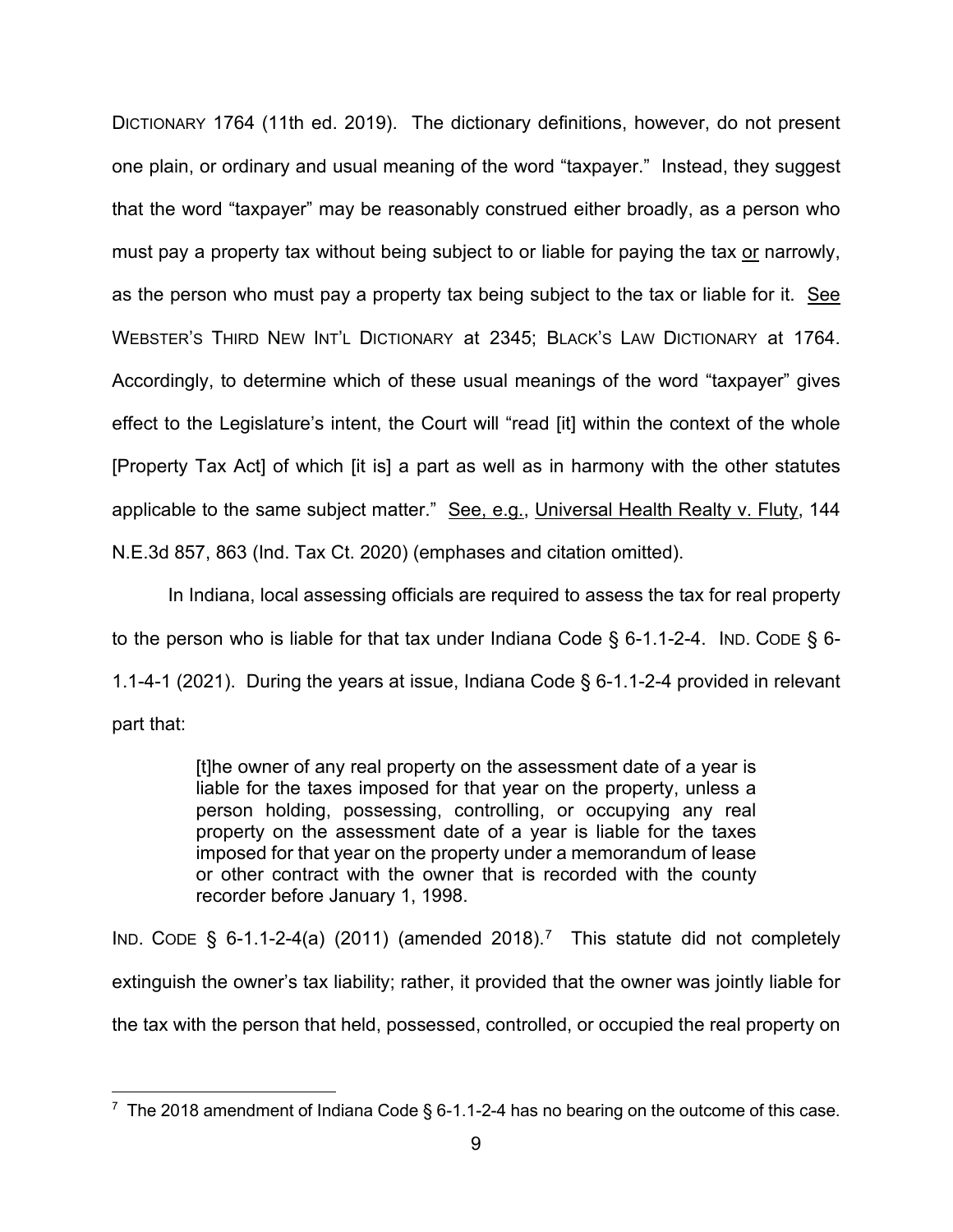DICTIONARY 1764 (11th ed. 2019). The dictionary definitions, however, do not present one plain, or ordinary and usual meaning of the word "taxpayer." Instead, they suggest that the word "taxpayer" may be reasonably construed either broadly, as a person who must pay a property tax without being subject to or liable for paying the tax or narrowly, as the person who must pay a property tax being subject to the tax or liable for it. See WEBSTER'S THIRD NEW INT'L DICTIONARY at 2345; BLACK'S LAW DICTIONARY at 1764. Accordingly, to determine which of these usual meanings of the word "taxpayer" gives effect to the Legislature's intent, the Court will "read [it] within the context of the whole [Property Tax Act] of which [it is] a part as well as in harmony with the other statutes applicable to the same subject matter." See, e.g., Universal Health Realty v. Fluty, 144 N.E.3d 857, 863 (Ind. Tax Ct. 2020) (emphases and citation omitted).

In Indiana, local assessing officials are required to assess the tax for real property to the person who is liable for that tax under Indiana Code § 6-1.1-2-4. IND. CODE § 6-1.1-4-1 (2021). During the years at issue, Indiana Code § 6-1.1-2-4 provided in relevant part that:

> [t]he owner of any real property on the assessment date of a year is liable for the taxes imposed for that year on the property, unless a person holding, possessing, controlling, or occupying any real property on the assessment date of a year is liable for the taxes imposed for that year on the property under a memorandum of lease or other contract with the owner that is recorded with the county recorder before January 1, 1998.

IND. CODE  $\S$  6-1.1-2-4(a) (2011) (amended 2018).<sup>7</sup> This statute did not completely extinguish the owner's tax liability; rather, it provided that the owner was jointly liable for the tax with the person that held, possessed, controlled, or occupied the real property on

<span id="page-8-0"></span> $^7$  The 2018 amendment of Indiana Code § 6-1.1-2-4 has no bearing on the outcome of this case.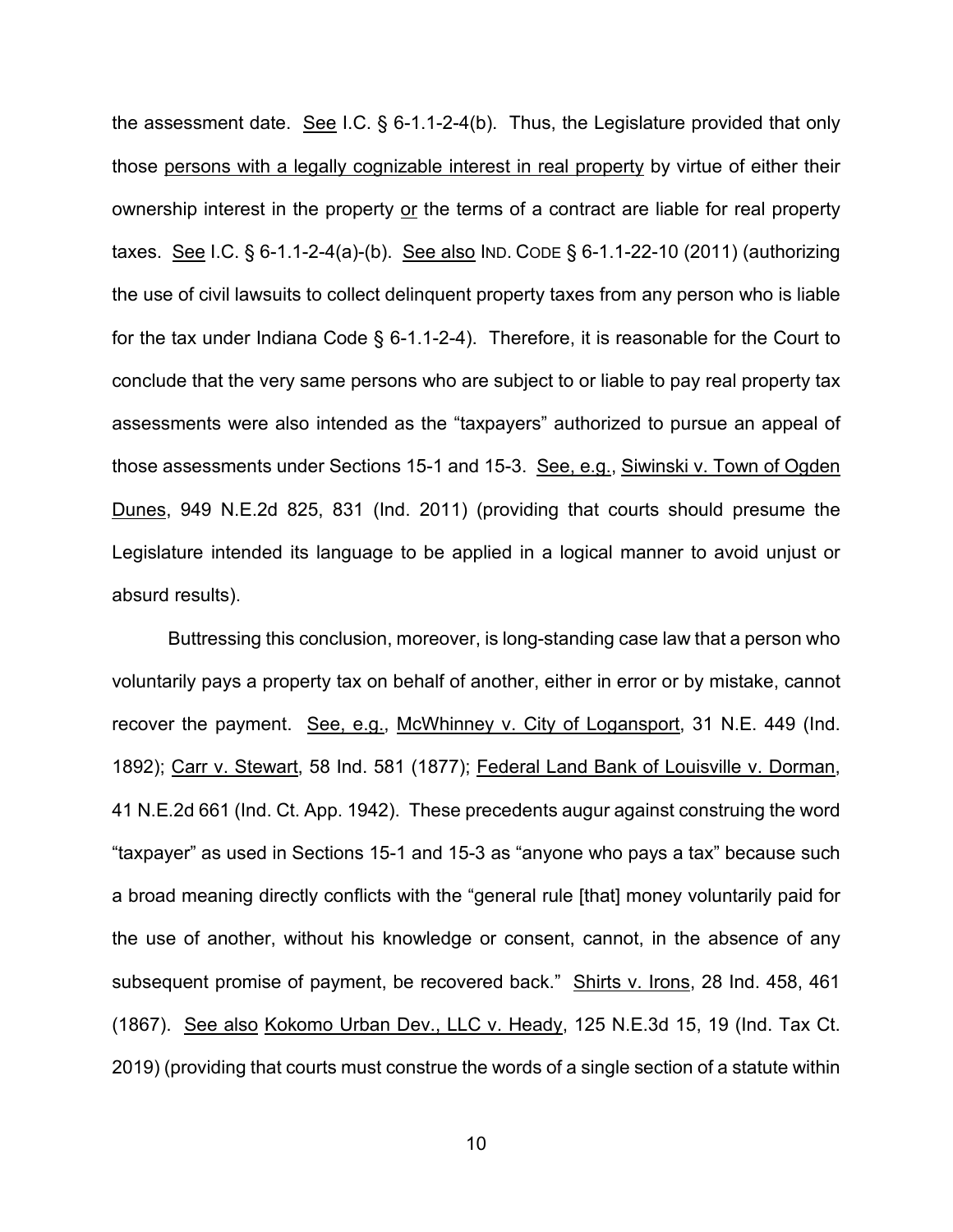the assessment date. See I.C.  $\S$  6-1.1-2-4(b). Thus, the Legislature provided that only those persons with a legally cognizable interest in real property by virtue of either their ownership interest in the property or the terms of a contract are liable for real property taxes. See I.C. § 6-1.1-2-4(a)-(b). See also IND. CODE § 6-1.1-22-10 (2011) (authorizing the use of civil lawsuits to collect delinquent property taxes from any person who is liable for the tax under Indiana Code § 6-1.1-2-4). Therefore, it is reasonable for the Court to conclude that the very same persons who are subject to or liable to pay real property tax assessments were also intended as the "taxpayers" authorized to pursue an appeal of those assessments under Sections 15-1 and 15-3. See, e.g., Siwinski v. Town of Ogden Dunes, 949 N.E.2d 825, 831 (Ind. 2011) (providing that courts should presume the Legislature intended its language to be applied in a logical manner to avoid unjust or absurd results).

Buttressing this conclusion, moreover, is long-standing case law that a person who voluntarily pays a property tax on behalf of another, either in error or by mistake, cannot recover the payment. See, e.g., McWhinney v. City of Logansport, 31 N.E. 449 (Ind. 1892); Carr v. Stewart, 58 Ind. 581 (1877); Federal Land Bank of Louisville v. Dorman, 41 N.E.2d 661 (Ind. Ct. App. 1942). These precedents augur against construing the word "taxpayer" as used in Sections 15-1 and 15-3 as "anyone who pays a tax" because such a broad meaning directly conflicts with the "general rule [that] money voluntarily paid for the use of another, without his knowledge or consent, cannot, in the absence of any subsequent promise of payment, be recovered back." Shirts v. Irons, 28 Ind. 458, 461 (1867). See also Kokomo Urban Dev., LLC v. Heady, 125 N.E.3d 15, 19 (Ind. Tax Ct. 2019) (providing that courts must construe the words of a single section of a statute within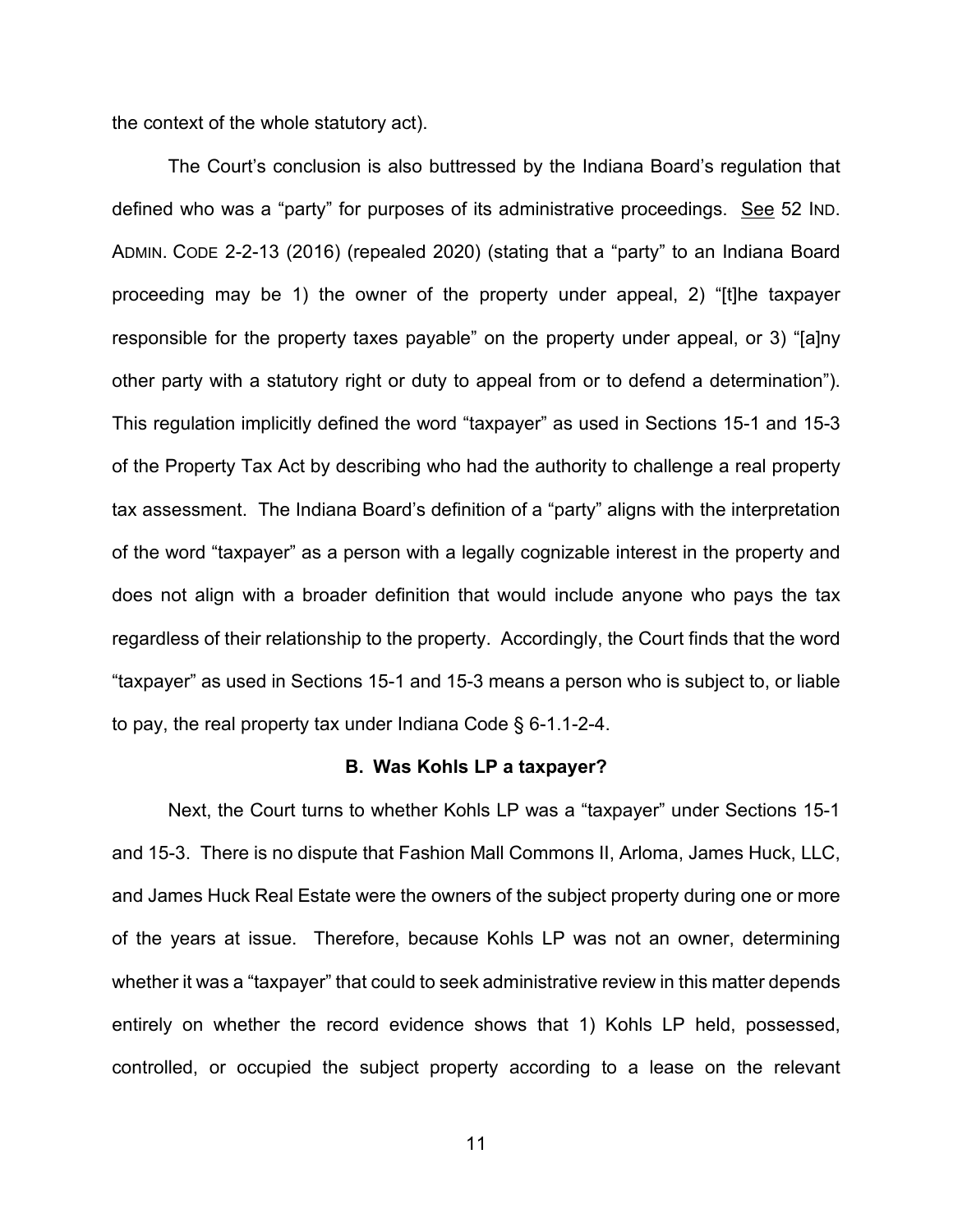the context of the whole statutory act).

The Court's conclusion is also buttressed by the Indiana Board's regulation that defined who was a "party" for purposes of its administrative proceedings. See 52 IND. ADMIN. CODE 2-2-13 (2016) (repealed 2020) (stating that a "party" to an Indiana Board proceeding may be 1) the owner of the property under appeal, 2) "[t]he taxpayer responsible for the property taxes payable" on the property under appeal, or 3) "[a]ny other party with a statutory right or duty to appeal from or to defend a determination"). This regulation implicitly defined the word "taxpayer" as used in Sections 15-1 and 15-3 of the Property Tax Act by describing who had the authority to challenge a real property tax assessment. The Indiana Board's definition of a "party" aligns with the interpretation of the word "taxpayer" as a person with a legally cognizable interest in the property and does not align with a broader definition that would include anyone who pays the tax regardless of their relationship to the property. Accordingly, the Court finds that the word "taxpayer" as used in Sections 15-1 and 15-3 means a person who is subject to, or liable to pay, the real property tax under Indiana Code § 6-1.1-2-4.

#### **B. Was Kohls LP a taxpayer?**

Next, the Court turns to whether Kohls LP was a "taxpayer" under Sections 15-1 and 15-3. There is no dispute that Fashion Mall Commons II, Arloma, James Huck, LLC, and James Huck Real Estate were the owners of the subject property during one or more of the years at issue. Therefore, because Kohls LP was not an owner, determining whether it was a "taxpayer" that could to seek administrative review in this matter depends entirely on whether the record evidence shows that 1) Kohls LP held, possessed, controlled, or occupied the subject property according to a lease on the relevant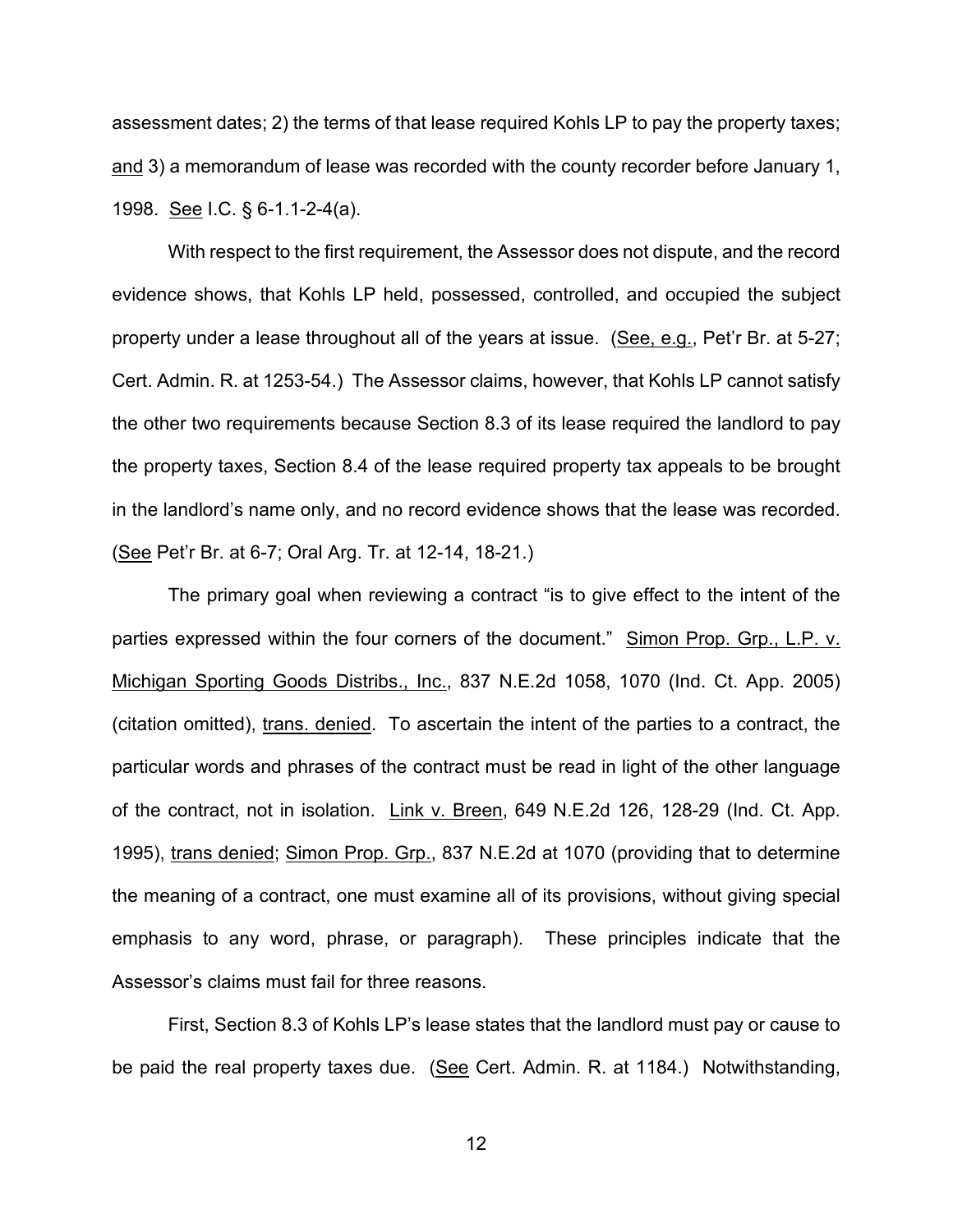assessment dates; 2) the terms of that lease required Kohls LP to pay the property taxes; and 3) a memorandum of lease was recorded with the county recorder before January 1, 1998. See I.C. § 6-1.1-2-4(a).

With respect to the first requirement, the Assessor does not dispute, and the record evidence shows, that Kohls LP held, possessed, controlled, and occupied the subject property under a lease throughout all of the years at issue. (See, e.g., Pet'r Br. at 5-27; Cert. Admin. R. at 1253-54.) The Assessor claims, however, that Kohls LP cannot satisfy the other two requirements because Section 8.3 of its lease required the landlord to pay the property taxes, Section 8.4 of the lease required property tax appeals to be brought in the landlord's name only, and no record evidence shows that the lease was recorded. (See Pet'r Br. at 6-7; Oral Arg. Tr. at 12-14, 18-21.)

The primary goal when reviewing a contract "is to give effect to the intent of the parties expressed within the four corners of the document." Simon Prop. Grp., L.P. v. Michigan Sporting Goods Distribs., Inc., 837 N.E.2d 1058, 1070 (Ind. Ct. App. 2005) (citation omitted), trans. denied. To ascertain the intent of the parties to a contract, the particular words and phrases of the contract must be read in light of the other language of the contract, not in isolation. Link v. Breen, 649 N.E.2d 126, 128-29 (Ind. Ct. App. 1995), trans denied; Simon Prop. Grp., 837 N.E.2d at 1070 (providing that to determine the meaning of a contract, one must examine all of its provisions, without giving special emphasis to any word, phrase, or paragraph). These principles indicate that the Assessor's claims must fail for three reasons.

First, Section 8.3 of Kohls LP's lease states that the landlord must pay or cause to be paid the real property taxes due. (See Cert. Admin. R. at 1184.) Notwithstanding,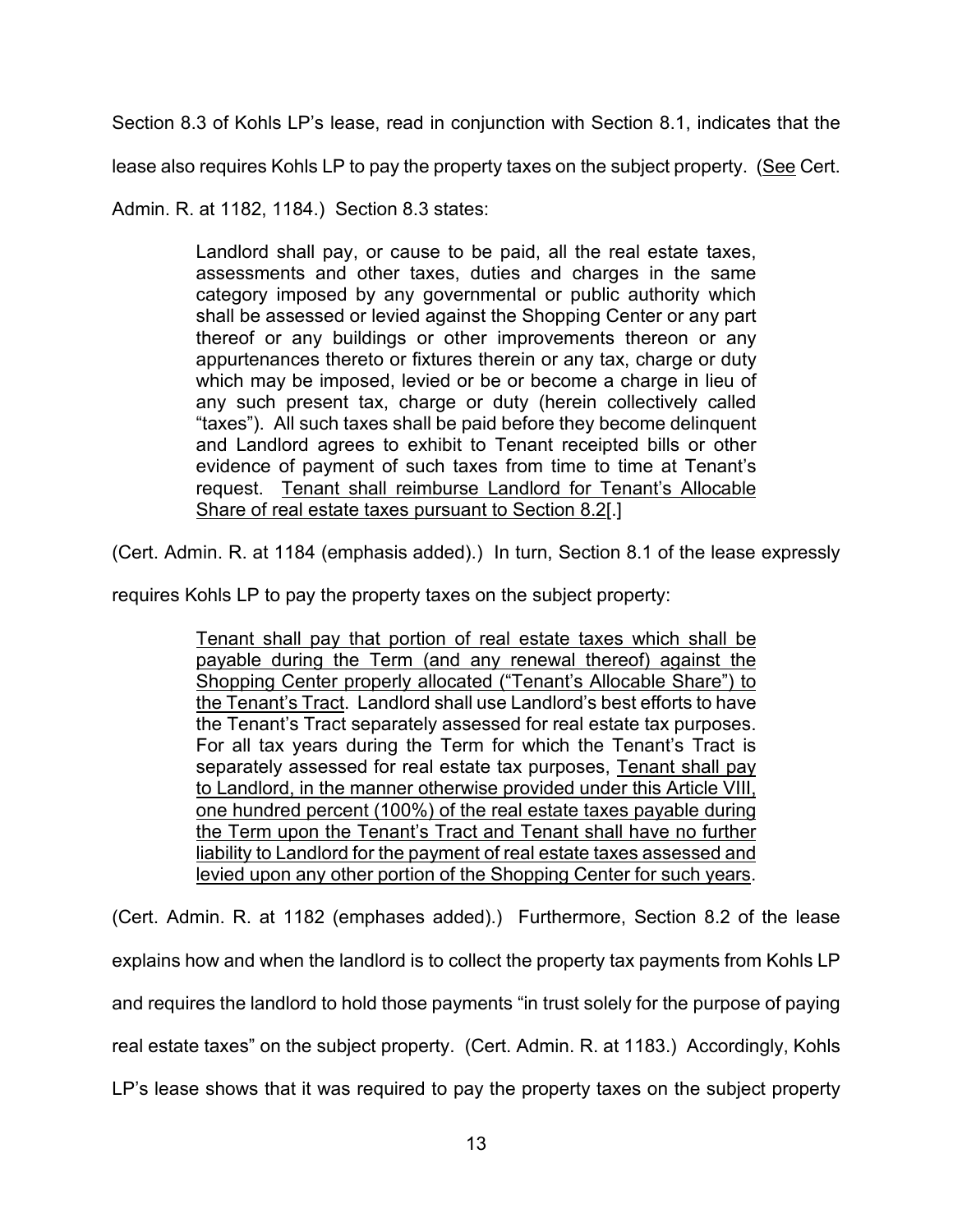Section 8.3 of Kohls LP's lease, read in conjunction with Section 8.1, indicates that the

lease also requires Kohls LP to pay the property taxes on the subject property. (See Cert.

Admin. R. at 1182, 1184.) Section 8.3 states:

Landlord shall pay, or cause to be paid, all the real estate taxes, assessments and other taxes, duties and charges in the same category imposed by any governmental or public authority which shall be assessed or levied against the Shopping Center or any part thereof or any buildings or other improvements thereon or any appurtenances thereto or fixtures therein or any tax, charge or duty which may be imposed, levied or be or become a charge in lieu of any such present tax, charge or duty (herein collectively called "taxes"). All such taxes shall be paid before they become delinquent and Landlord agrees to exhibit to Tenant receipted bills or other evidence of payment of such taxes from time to time at Tenant's request. Tenant shall reimburse Landlord for Tenant's Allocable Share of real estate taxes pursuant to Section 8.2[.]

(Cert. Admin. R. at 1184 (emphasis added).) In turn, Section 8.1 of the lease expressly

requires Kohls LP to pay the property taxes on the subject property:

Tenant shall pay that portion of real estate taxes which shall be payable during the Term (and any renewal thereof) against the Shopping Center properly allocated ("Tenant's Allocable Share") to the Tenant's Tract. Landlord shall use Landlord's best efforts to have the Tenant's Tract separately assessed for real estate tax purposes. For all tax years during the Term for which the Tenant's Tract is separately assessed for real estate tax purposes, Tenant shall pay to Landlord, in the manner otherwise provided under this Article VIII, one hundred percent (100%) of the real estate taxes payable during the Term upon the Tenant's Tract and Tenant shall have no further liability to Landlord for the payment of real estate taxes assessed and levied upon any other portion of the Shopping Center for such years.

(Cert. Admin. R. at 1182 (emphases added).) Furthermore, Section 8.2 of the lease explains how and when the landlord is to collect the property tax payments from Kohls LP and requires the landlord to hold those payments "in trust solely for the purpose of paying real estate taxes" on the subject property. (Cert. Admin. R. at 1183.) Accordingly, Kohls LP's lease shows that it was required to pay the property taxes on the subject property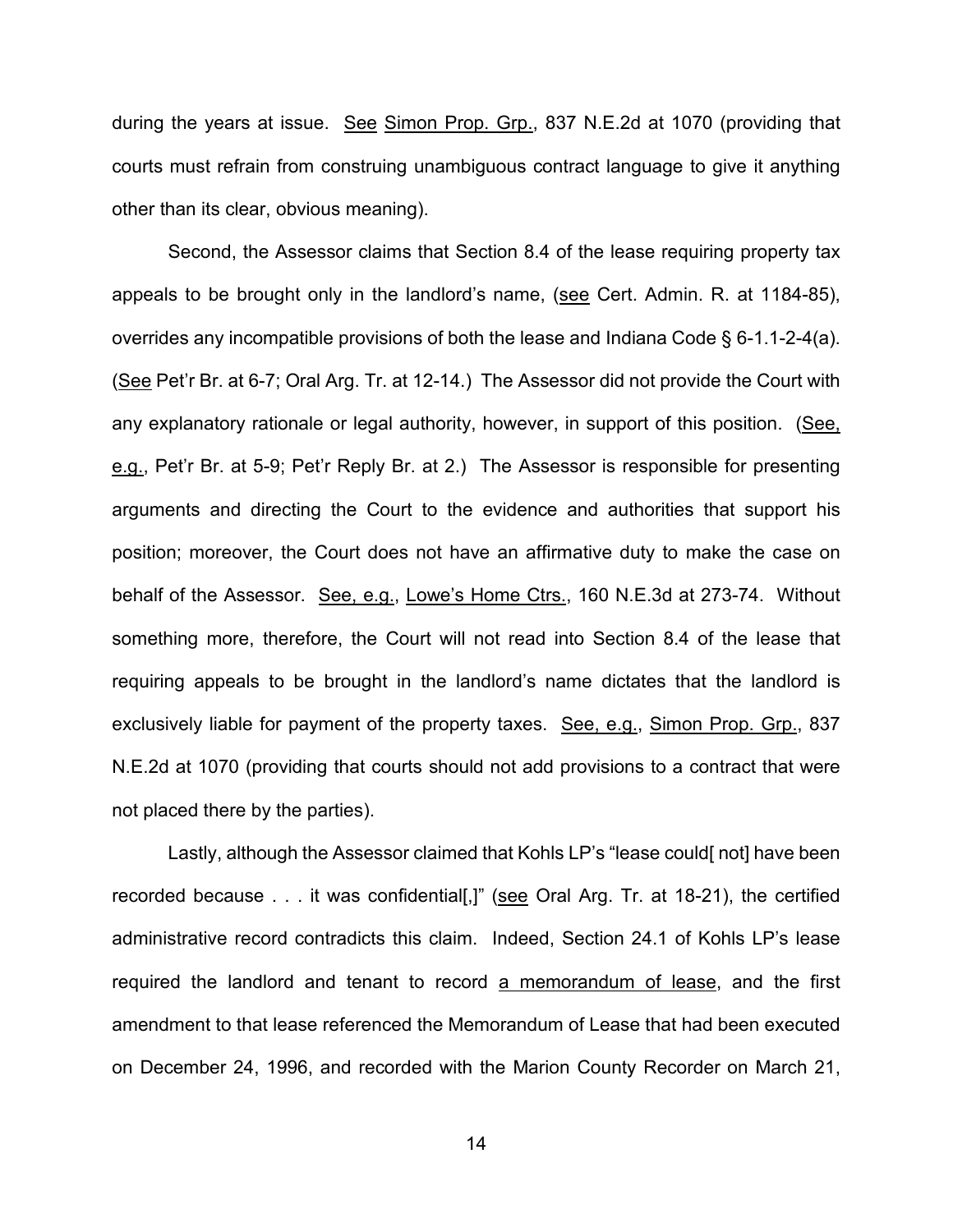during the years at issue. See Simon Prop. Grp., 837 N.E.2d at 1070 (providing that courts must refrain from construing unambiguous contract language to give it anything other than its clear, obvious meaning).

Second, the Assessor claims that Section 8.4 of the lease requiring property tax appeals to be brought only in the landlord's name, (see Cert. Admin. R. at 1184-85), overrides any incompatible provisions of both the lease and Indiana Code § 6-1.1-2-4(a). (See Pet'r Br. at 6-7; Oral Arg. Tr. at 12-14.) The Assessor did not provide the Court with any explanatory rationale or legal authority, however, in support of this position. (See, e.g., Pet'r Br. at 5-9; Pet'r Reply Br. at 2.) The Assessor is responsible for presenting arguments and directing the Court to the evidence and authorities that support his position; moreover, the Court does not have an affirmative duty to make the case on behalf of the Assessor. See, e.g., Lowe's Home Ctrs., 160 N.E.3d at 273-74. Without something more, therefore, the Court will not read into Section 8.4 of the lease that requiring appeals to be brought in the landlord's name dictates that the landlord is exclusively liable for payment of the property taxes. See, e.g., Simon Prop. Grp., 837 N.E.2d at 1070 (providing that courts should not add provisions to a contract that were not placed there by the parties).

Lastly, although the Assessor claimed that Kohls LP's "lease could[ not] have been recorded because . . . it was confidential[,]" (see Oral Arg. Tr. at 18-21), the certified administrative record contradicts this claim. Indeed, Section 24.1 of Kohls LP's lease required the landlord and tenant to record a memorandum of lease, and the first amendment to that lease referenced the Memorandum of Lease that had been executed on December 24, 1996, and recorded with the Marion County Recorder on March 21,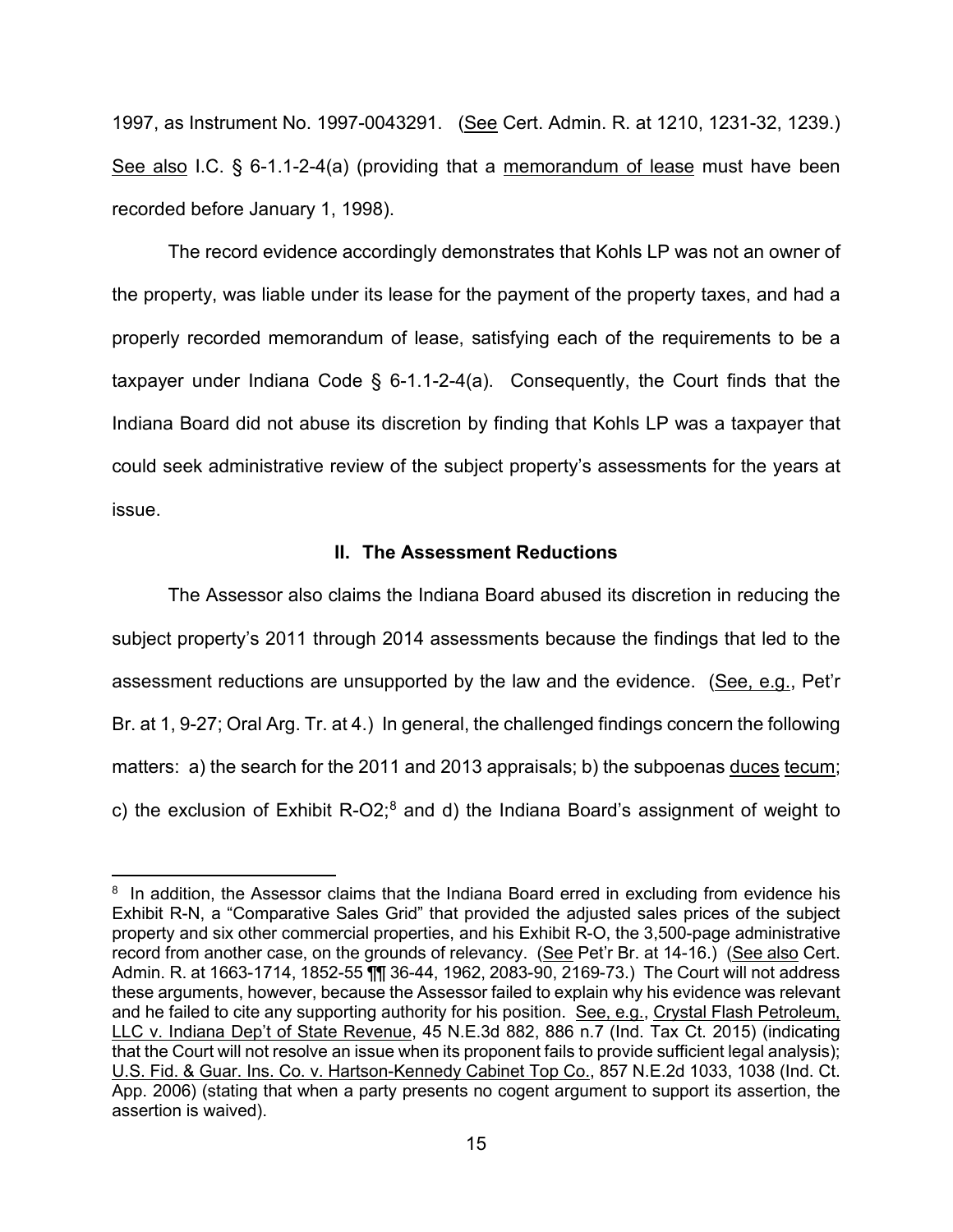1997, as Instrument No. 1997-0043291. (See Cert. Admin. R. at 1210, 1231-32, 1239.) See also I.C. § 6-1.1-2-4(a) (providing that a memorandum of lease must have been recorded before January 1, 1998).

The record evidence accordingly demonstrates that Kohls LP was not an owner of the property, was liable under its lease for the payment of the property taxes, and had a properly recorded memorandum of lease, satisfying each of the requirements to be a taxpayer under Indiana Code § 6-1.1-2-4(a). Consequently, the Court finds that the Indiana Board did not abuse its discretion by finding that Kohls LP was a taxpayer that could seek administrative review of the subject property's assessments for the years at issue.

#### **II. The Assessment Reductions**

The Assessor also claims the Indiana Board abused its discretion in reducing the subject property's 2011 through 2014 assessments because the findings that led to the assessment reductions are unsupported by the law and the evidence. (See, e.g., Pet'r Br. at 1, 9-27; Oral Arg. Tr. at 4.) In general, the challenged findings concern the following matters: a) the search for the 2011 and 2013 appraisals; b) the subpoenas duces tecum; c) the exclusion of Exhibit R-O2; $<sup>8</sup>$  and d) the Indiana Board's assignment of weight to</sup>

<span id="page-14-0"></span> $8$  In addition, the Assessor claims that the Indiana Board erred in excluding from evidence his Exhibit R-N, a "Comparative Sales Grid" that provided the adjusted sales prices of the subject property and six other commercial properties, and his Exhibit R-O, the 3,500-page administrative record from another case, on the grounds of relevancy. (See Pet'r Br. at 14-16.) (See also Cert. Admin. R. at 1663-1714, 1852-55 ¶¶ 36-44, 1962, 2083-90, 2169-73.) The Court will not address these arguments, however, because the Assessor failed to explain why his evidence was relevant and he failed to cite any supporting authority for his position. See, e.g., Crystal Flash Petroleum, LLC v. Indiana Dep't of State Revenue, 45 N.E.3d 882, 886 n.7 (Ind. Tax Ct. 2015) (indicating that the Court will not resolve an issue when its proponent fails to provide sufficient legal analysis); U.S. Fid. & Guar. Ins. Co. v. Hartson-Kennedy Cabinet Top Co., 857 N.E.2d 1033, 1038 (Ind. Ct. App. 2006) (stating that when a party presents no cogent argument to support its assertion, the assertion is waived).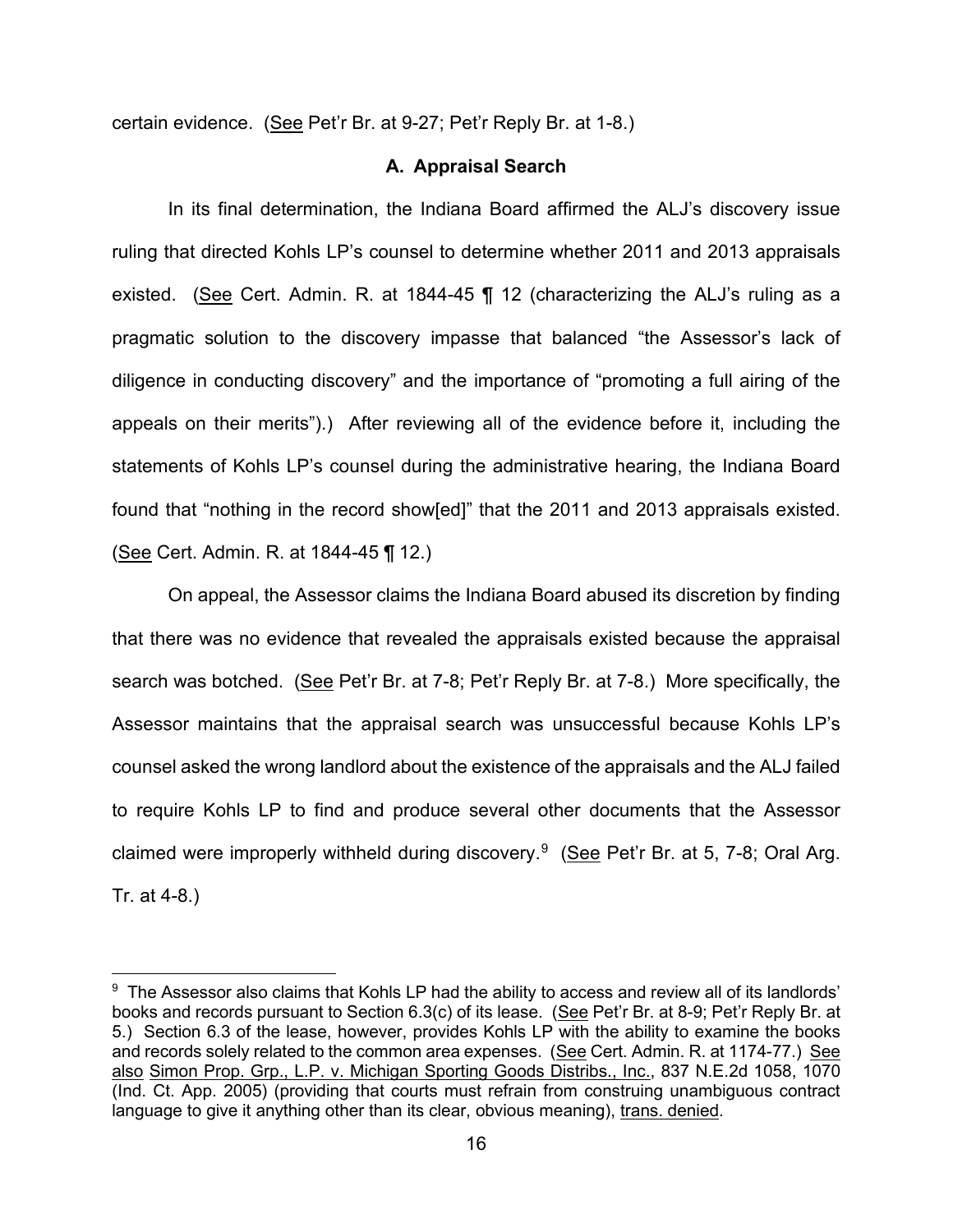certain evidence. (See Pet'r Br. at 9-27; Pet'r Reply Br. at 1-8.)

# **A. Appraisal Search**

In its final determination, the Indiana Board affirmed the ALJ's discovery issue ruling that directed Kohls LP's counsel to determine whether 2011 and 2013 appraisals existed. (See Cert. Admin. R. at 1844-45 ¶ 12 (characterizing the ALJ's ruling as a pragmatic solution to the discovery impasse that balanced "the Assessor's lack of diligence in conducting discovery" and the importance of "promoting a full airing of the appeals on their merits").) After reviewing all of the evidence before it, including the statements of Kohls LP's counsel during the administrative hearing, the Indiana Board found that "nothing in the record show[ed]" that the 2011 and 2013 appraisals existed. (See Cert. Admin. R. at 1844-45 ¶ 12.)

On appeal, the Assessor claims the Indiana Board abused its discretion by finding that there was no evidence that revealed the appraisals existed because the appraisal search was botched. (See Pet'r Br. at 7-8; Pet'r Reply Br. at 7-8.) More specifically, the Assessor maintains that the appraisal search was unsuccessful because Kohls LP's counsel asked the wrong landlord about the existence of the appraisals and the ALJ failed to require Kohls LP to find and produce several other documents that the Assessor claimed were improperly withheld during discovery.<sup>[9](#page-15-0)</sup> (See Pet'r Br. at 5, 7-8; Oral Arg. Tr. at 4-8.)

<span id="page-15-0"></span> $^\mathrm{9}$  The Assessor also claims that Kohls LP had the ability to access and review all of its landlords' books and records pursuant to Section 6.3(c) of its lease. (See Pet'r Br. at 8-9; Pet'r Reply Br. at 5.) Section 6.3 of the lease, however, provides Kohls LP with the ability to examine the books and records solely related to the common area expenses. (See Cert. Admin. R. at 1174-77.) See also Simon Prop. Grp., L.P. v. Michigan Sporting Goods Distribs., Inc., 837 N.E.2d 1058, 1070 (Ind. Ct. App. 2005) (providing that courts must refrain from construing unambiguous contract language to give it anything other than its clear, obvious meaning), trans. denied.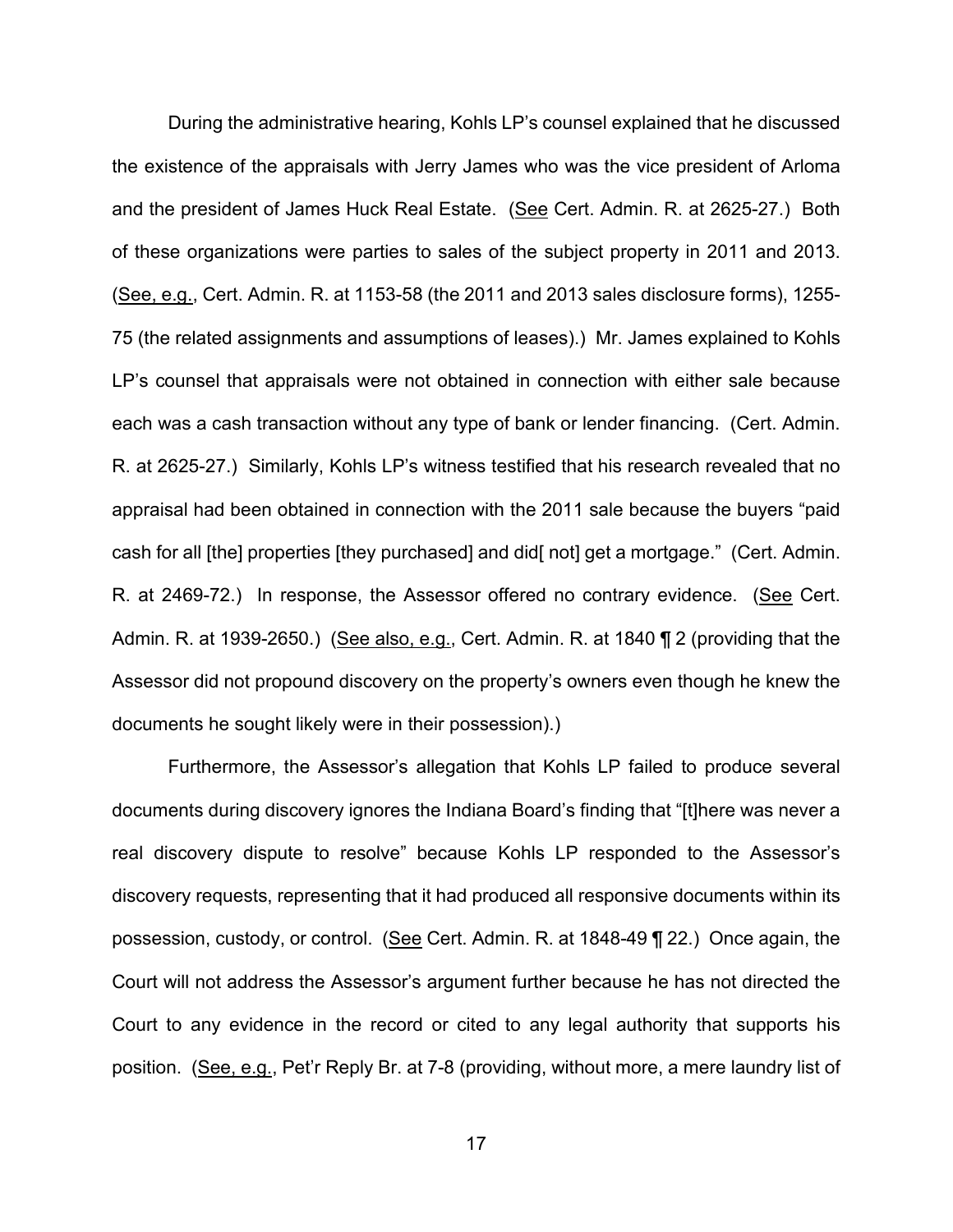During the administrative hearing, Kohls LP's counsel explained that he discussed the existence of the appraisals with Jerry James who was the vice president of Arloma and the president of James Huck Real Estate. (See Cert. Admin. R. at 2625-27.) Both of these organizations were parties to sales of the subject property in 2011 and 2013. (See, e.g., Cert. Admin. R. at 1153-58 (the 2011 and 2013 sales disclosure forms), 1255- 75 (the related assignments and assumptions of leases).) Mr. James explained to Kohls LP's counsel that appraisals were not obtained in connection with either sale because each was a cash transaction without any type of bank or lender financing. (Cert. Admin. R. at 2625-27.) Similarly, Kohls LP's witness testified that his research revealed that no appraisal had been obtained in connection with the 2011 sale because the buyers "paid cash for all [the] properties [they purchased] and did[ not] get a mortgage." (Cert. Admin. R. at 2469-72.) In response, the Assessor offered no contrary evidence. (See Cert. Admin. R. at 1939-2650.) (See also, e.g., Cert. Admin. R. at 1840 ¶ 2 (providing that the Assessor did not propound discovery on the property's owners even though he knew the documents he sought likely were in their possession).)

Furthermore, the Assessor's allegation that Kohls LP failed to produce several documents during discovery ignores the Indiana Board's finding that "[t]here was never a real discovery dispute to resolve" because Kohls LP responded to the Assessor's discovery requests, representing that it had produced all responsive documents within its possession, custody, or control. (See Cert. Admin. R. at 1848-49 ¶ 22.) Once again, the Court will not address the Assessor's argument further because he has not directed the Court to any evidence in the record or cited to any legal authority that supports his position. (See, e.g., Pet'r Reply Br. at 7-8 (providing, without more, a mere laundry list of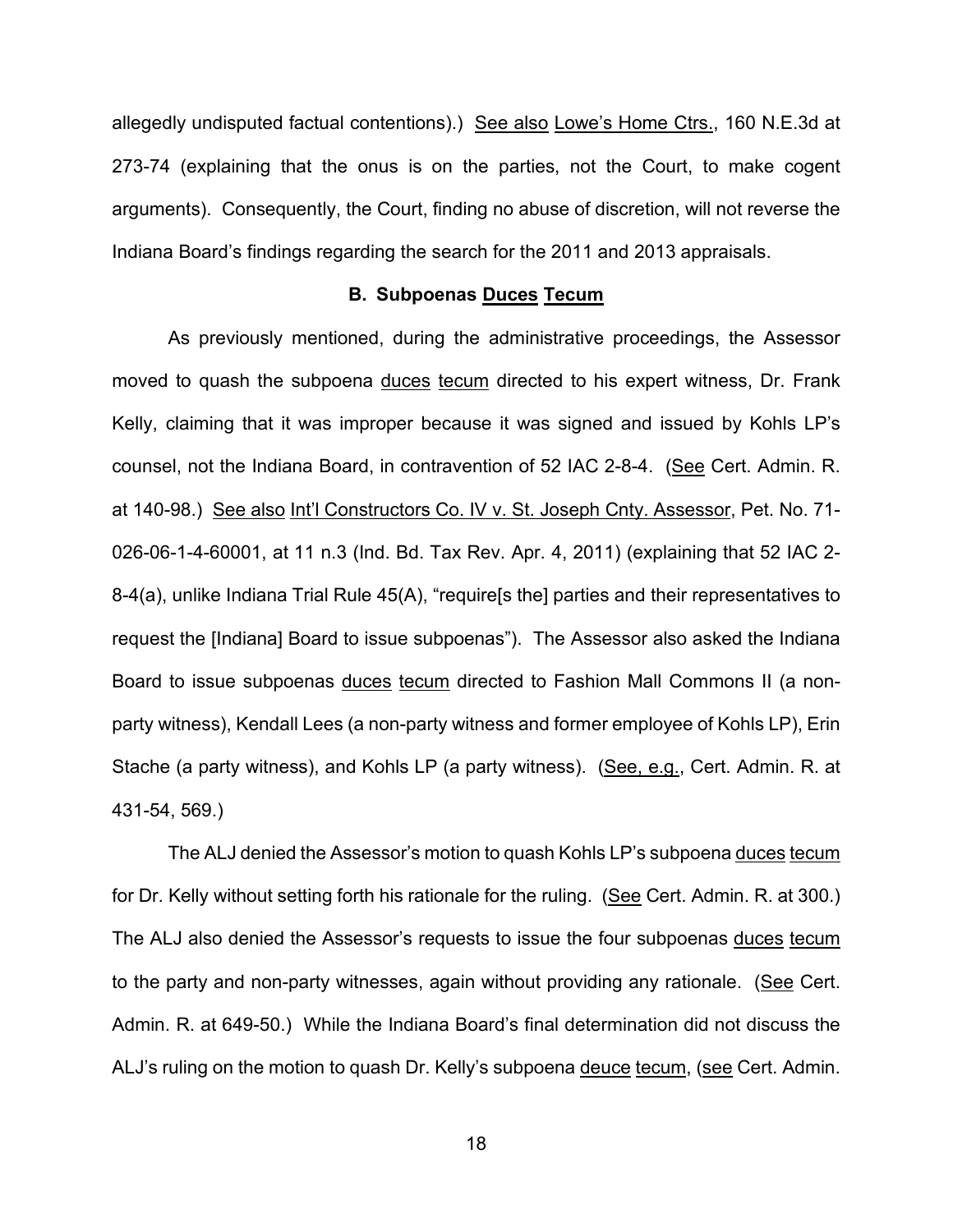allegedly undisputed factual contentions).) See also Lowe's Home Ctrs., 160 N.E.3d at 273-74 (explaining that the onus is on the parties, not the Court, to make cogent arguments). Consequently, the Court, finding no abuse of discretion, will not reverse the Indiana Board's findings regarding the search for the 2011 and 2013 appraisals.

#### **B. Subpoenas Duces Tecum**

As previously mentioned, during the administrative proceedings, the Assessor moved to quash the subpoena duces tecum directed to his expert witness, Dr. Frank Kelly, claiming that it was improper because it was signed and issued by Kohls LP's counsel, not the Indiana Board, in contravention of 52 IAC 2-8-4. (See Cert. Admin. R. at 140-98.) See also Int'l Constructors Co. IV v. St. Joseph Cnty. Assessor, Pet. No. 71- 026-06-1-4-60001, at 11 n.3 (Ind. Bd. Tax Rev. Apr. 4, 2011) (explaining that 52 IAC 2- 8-4(a), unlike Indiana Trial Rule 45(A), "require[s the] parties and their representatives to request the [Indiana] Board to issue subpoenas"). The Assessor also asked the Indiana Board to issue subpoenas duces tecum directed to Fashion Mall Commons II (a nonparty witness), Kendall Lees (a non-party witness and former employee of Kohls LP), Erin Stache (a party witness), and Kohls LP (a party witness). (See, e.g., Cert. Admin. R. at 431-54, 569.)

The ALJ denied the Assessor's motion to quash Kohls LP's subpoena duces tecum for Dr. Kelly without setting forth his rationale for the ruling. (See Cert. Admin. R. at 300.) The ALJ also denied the Assessor's requests to issue the four subpoenas duces tecum to the party and non-party witnesses, again without providing any rationale. (See Cert. Admin. R. at 649-50.) While the Indiana Board's final determination did not discuss the ALJ's ruling on the motion to quash Dr. Kelly's subpoena deuce tecum, (see Cert. Admin.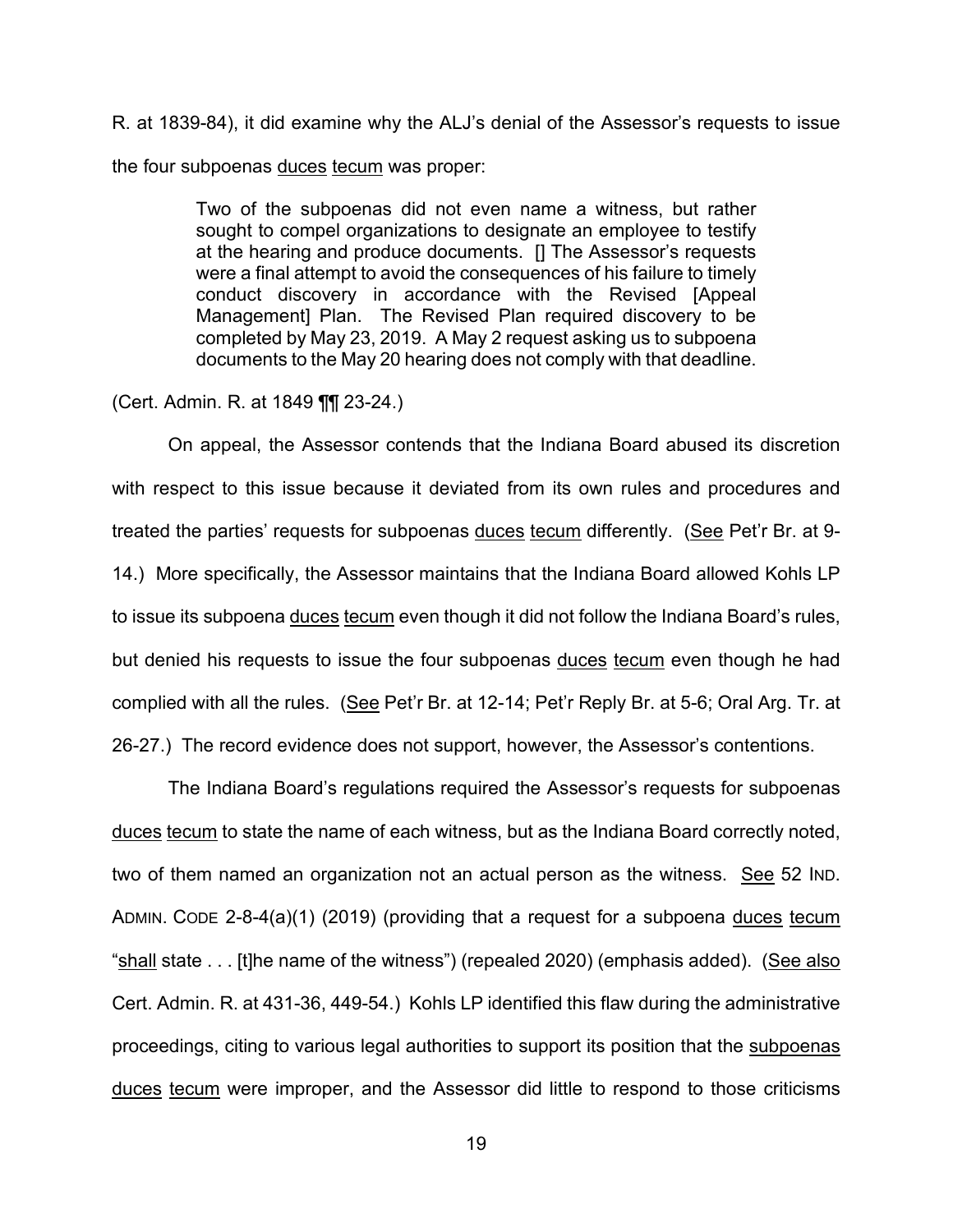R. at 1839-84), it did examine why the ALJ's denial of the Assessor's requests to issue the four subpoenas duces tecum was proper:

> Two of the subpoenas did not even name a witness, but rather sought to compel organizations to designate an employee to testify at the hearing and produce documents. [] The Assessor's requests were a final attempt to avoid the consequences of his failure to timely conduct discovery in accordance with the Revised [Appeal Management] Plan. The Revised Plan required discovery to be completed by May 23, 2019. A May 2 request asking us to subpoena documents to the May 20 hearing does not comply with that deadline.

(Cert. Admin. R. at 1849 ¶¶ 23-24.)

On appeal, the Assessor contends that the Indiana Board abused its discretion with respect to this issue because it deviated from its own rules and procedures and treated the parties' requests for subpoenas duces tecum differently. (See Pet'r Br. at 9- 14.) More specifically, the Assessor maintains that the Indiana Board allowed Kohls LP to issue its subpoena duces tecum even though it did not follow the Indiana Board's rules, but denied his requests to issue the four subpoenas duces tecum even though he had complied with all the rules. (See Pet'r Br. at 12-14; Pet'r Reply Br. at 5-6; Oral Arg. Tr. at 26-27.) The record evidence does not support, however, the Assessor's contentions.

The Indiana Board's regulations required the Assessor's requests for subpoenas duces tecum to state the name of each witness, but as the Indiana Board correctly noted, two of them named an organization not an actual person as the witness. See 52 IND. ADMIN. CODE 2-8-4(a)(1) (2019) (providing that a request for a subpoena duces tecum "shall state . . . [t]he name of the witness") (repealed 2020) (emphasis added). (See also Cert. Admin. R. at 431-36, 449-54.) Kohls LP identified this flaw during the administrative proceedings, citing to various legal authorities to support its position that the subpoenas duces tecum were improper, and the Assessor did little to respond to those criticisms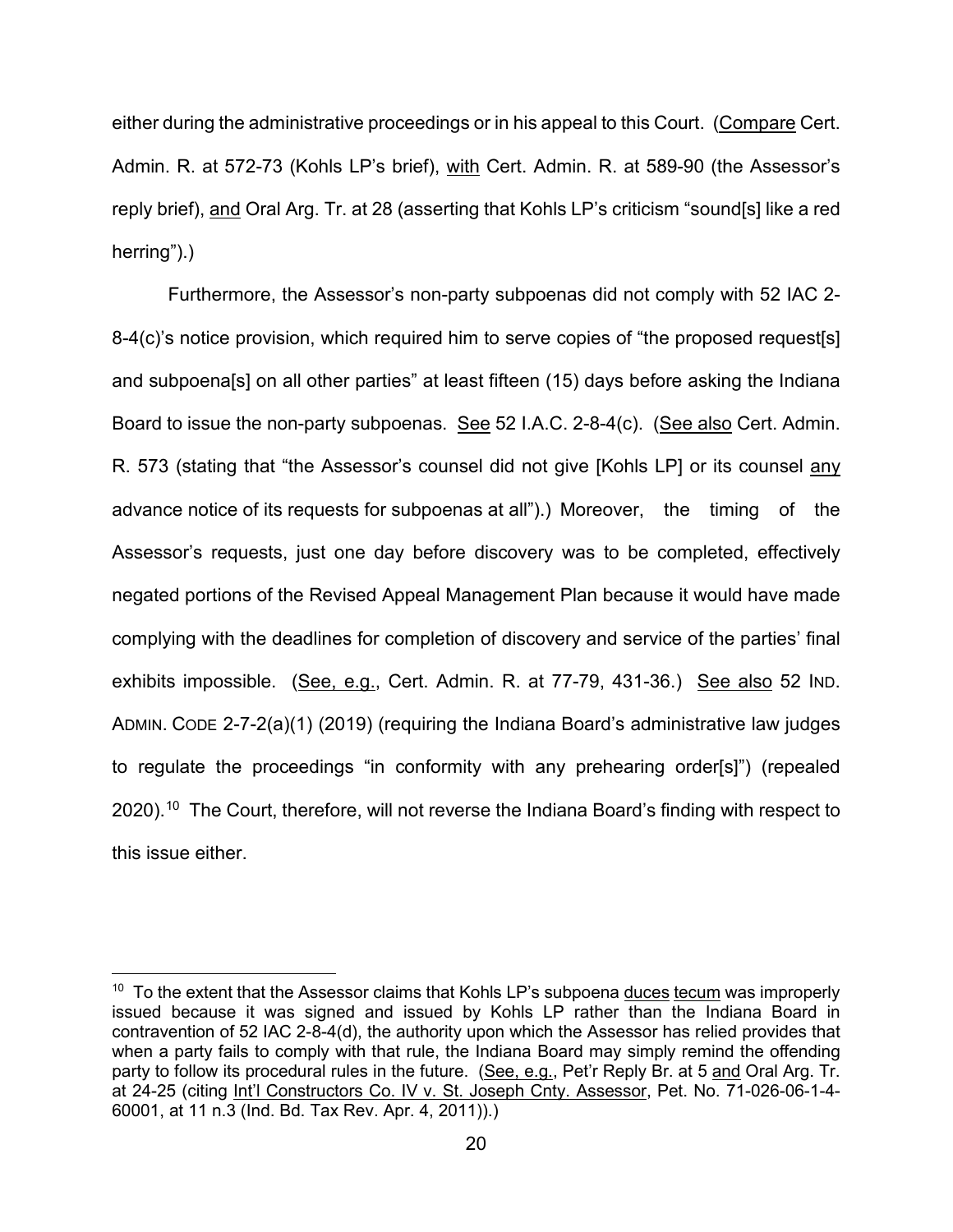either during the administrative proceedings or in his appeal to this Court. (Compare Cert. Admin. R. at 572-73 (Kohls LP's brief), with Cert. Admin. R. at 589-90 (the Assessor's reply brief), and Oral Arg. Tr. at 28 (asserting that Kohls LP's criticism "sound[s] like a red herring").)

Furthermore, the Assessor's non-party subpoenas did not comply with 52 IAC 2- 8-4(c)'s notice provision, which required him to serve copies of "the proposed request[s] and subpoena[s] on all other parties" at least fifteen (15) days before asking the Indiana Board to issue the non-party subpoenas. See 52 I.A.C. 2-8-4(c). (See also Cert. Admin. R. 573 (stating that "the Assessor's counsel did not give [Kohls LP] or its counsel any advance notice of its requests for subpoenas at all").) Moreover, the timing of the Assessor's requests, just one day before discovery was to be completed, effectively negated portions of the Revised Appeal Management Plan because it would have made complying with the deadlines for completion of discovery and service of the parties' final exhibits impossible. (See, e.g., Cert. Admin. R. at 77-79, 431-36.) See also 52 IND. ADMIN. CODE 2-7-2(a)(1) (2019) (requiring the Indiana Board's administrative law judges to regulate the proceedings "in conformity with any prehearing order[s]") (repealed 2020). $^{10}$  $^{10}$  $^{10}$  The Court, therefore, will not reverse the Indiana Board's finding with respect to this issue either.

<span id="page-19-0"></span> $10$  To the extent that the Assessor claims that Kohls LP's subpoena duces tecum was improperly issued because it was signed and issued by Kohls LP rather than the Indiana Board in contravention of 52 IAC 2-8-4(d), the authority upon which the Assessor has relied provides that when a party fails to comply with that rule, the Indiana Board may simply remind the offending party to follow its procedural rules in the future. (See, e.g., Pet'r Reply Br. at 5 and Oral Arg. Tr. at 24-25 (citing Int'l Constructors Co. IV v. St. Joseph Cnty. Assessor, Pet. No. 71-026-06-1-4- 60001, at 11 n.3 (Ind. Bd. Tax Rev. Apr. 4, 2011)).)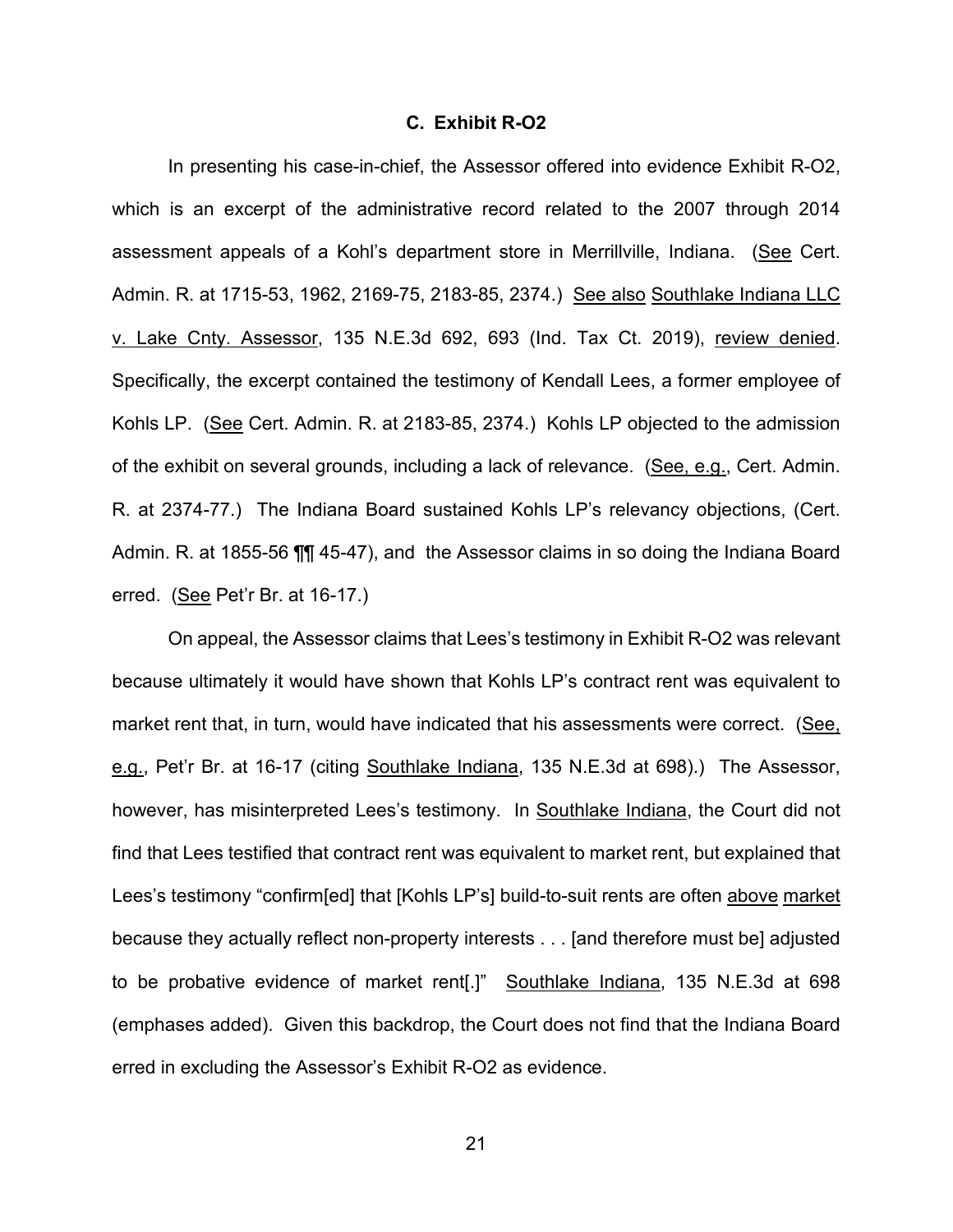#### **C. Exhibit R-O2**

In presenting his case-in-chief, the Assessor offered into evidence Exhibit R-O2, which is an excerpt of the administrative record related to the 2007 through 2014 assessment appeals of a Kohl's department store in Merrillville, Indiana. (See Cert. Admin. R. at 1715-53, 1962, 2169-75, 2183-85, 2374.) See also Southlake Indiana LLC v. Lake Cnty. Assessor, 135 N.E.3d 692, 693 (Ind. Tax Ct. 2019), review denied. Specifically, the excerpt contained the testimony of Kendall Lees, a former employee of Kohls LP. (See Cert. Admin. R. at 2183-85, 2374.) Kohls LP objected to the admission of the exhibit on several grounds, including a lack of relevance. (See, e.g., Cert. Admin. R. at 2374-77.) The Indiana Board sustained Kohls LP's relevancy objections, (Cert. Admin. R. at 1855-56 ¶¶ 45-47), and the Assessor claims in so doing the Indiana Board erred. (See Pet'r Br. at 16-17.)

On appeal, the Assessor claims that Lees's testimony in Exhibit R-O2 was relevant because ultimately it would have shown that Kohls LP's contract rent was equivalent to market rent that, in turn, would have indicated that his assessments were correct. (See, e.g., Pet'r Br. at 16-17 (citing Southlake Indiana, 135 N.E.3d at 698).) The Assessor, however, has misinterpreted Lees's testimony. In Southlake Indiana, the Court did not find that Lees testified that contract rent was equivalent to market rent, but explained that Lees's testimony "confirm[ed] that [Kohls LP's] build-to-suit rents are often above market because they actually reflect non-property interests . . . [and therefore must be] adjusted to be probative evidence of market rent[.]" Southlake Indiana, 135 N.E.3d at 698 (emphases added). Given this backdrop, the Court does not find that the Indiana Board erred in excluding the Assessor's Exhibit R-O2 as evidence.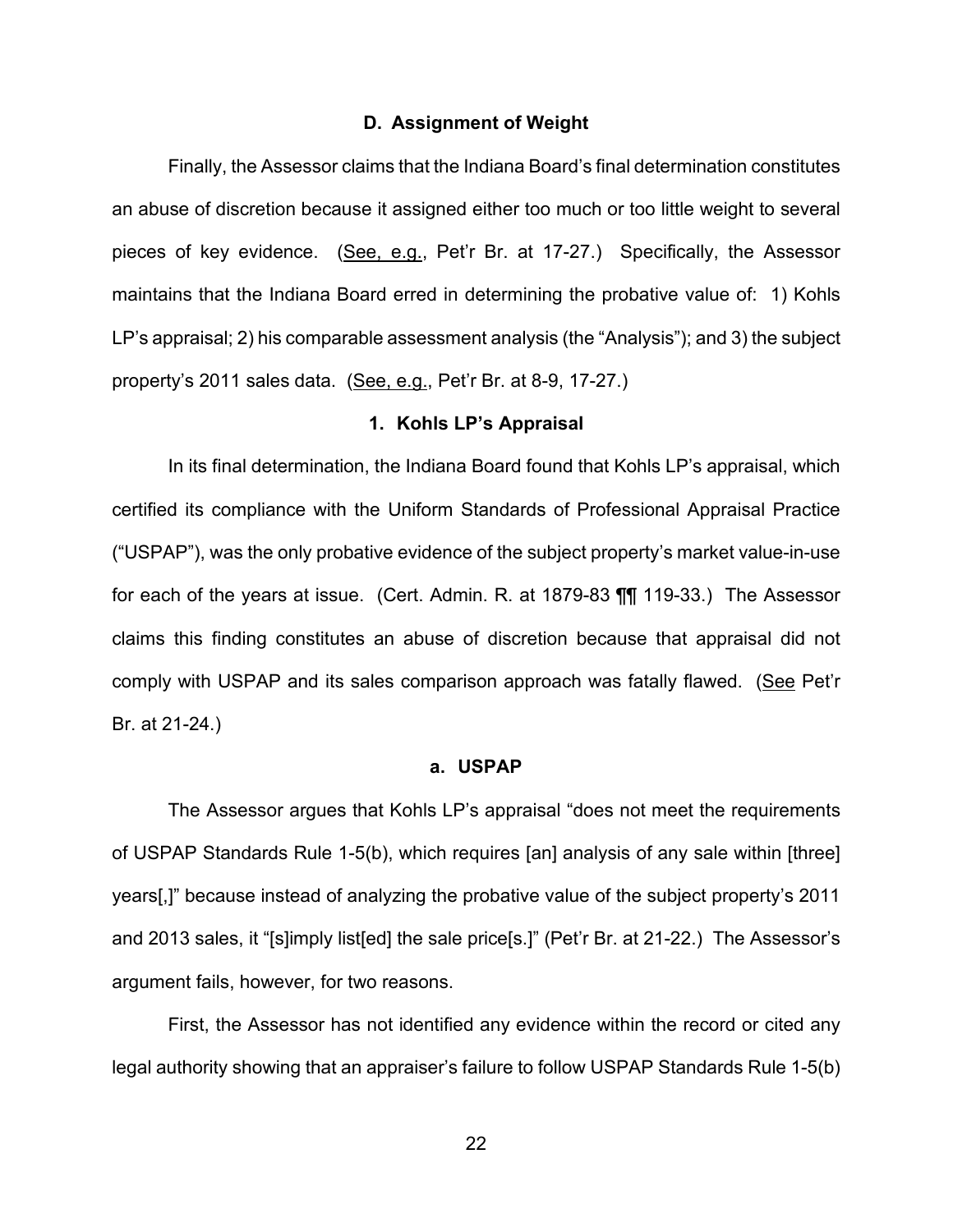#### **D. Assignment of Weight**

Finally, the Assessor claims that the Indiana Board's final determination constitutes an abuse of discretion because it assigned either too much or too little weight to several pieces of key evidence. (See, e.g., Pet'r Br. at 17-27.) Specifically, the Assessor maintains that the Indiana Board erred in determining the probative value of: 1) Kohls LP's appraisal; 2) his comparable assessment analysis (the "Analysis"); and 3) the subject property's 2011 sales data. (See, e.g., Pet'r Br. at 8-9, 17-27.)

#### **1. Kohls LP's Appraisal**

In its final determination, the Indiana Board found that Kohls LP's appraisal, which certified its compliance with the Uniform Standards of Professional Appraisal Practice ("USPAP"), was the only probative evidence of the subject property's market value-in-use for each of the years at issue. (Cert. Admin. R. at 1879-83 ¶¶ 119-33.) The Assessor claims this finding constitutes an abuse of discretion because that appraisal did not comply with USPAP and its sales comparison approach was fatally flawed. (See Pet'r Br. at 21-24.)

#### **a. USPAP**

The Assessor argues that Kohls LP's appraisal "does not meet the requirements of USPAP Standards Rule 1-5(b), which requires [an] analysis of any sale within [three] years[,]" because instead of analyzing the probative value of the subject property's 2011 and 2013 sales, it "[s]imply list[ed] the sale price[s.]" (Pet'r Br. at 21-22.) The Assessor's argument fails, however, for two reasons.

First, the Assessor has not identified any evidence within the record or cited any legal authority showing that an appraiser's failure to follow USPAP Standards Rule 1-5(b)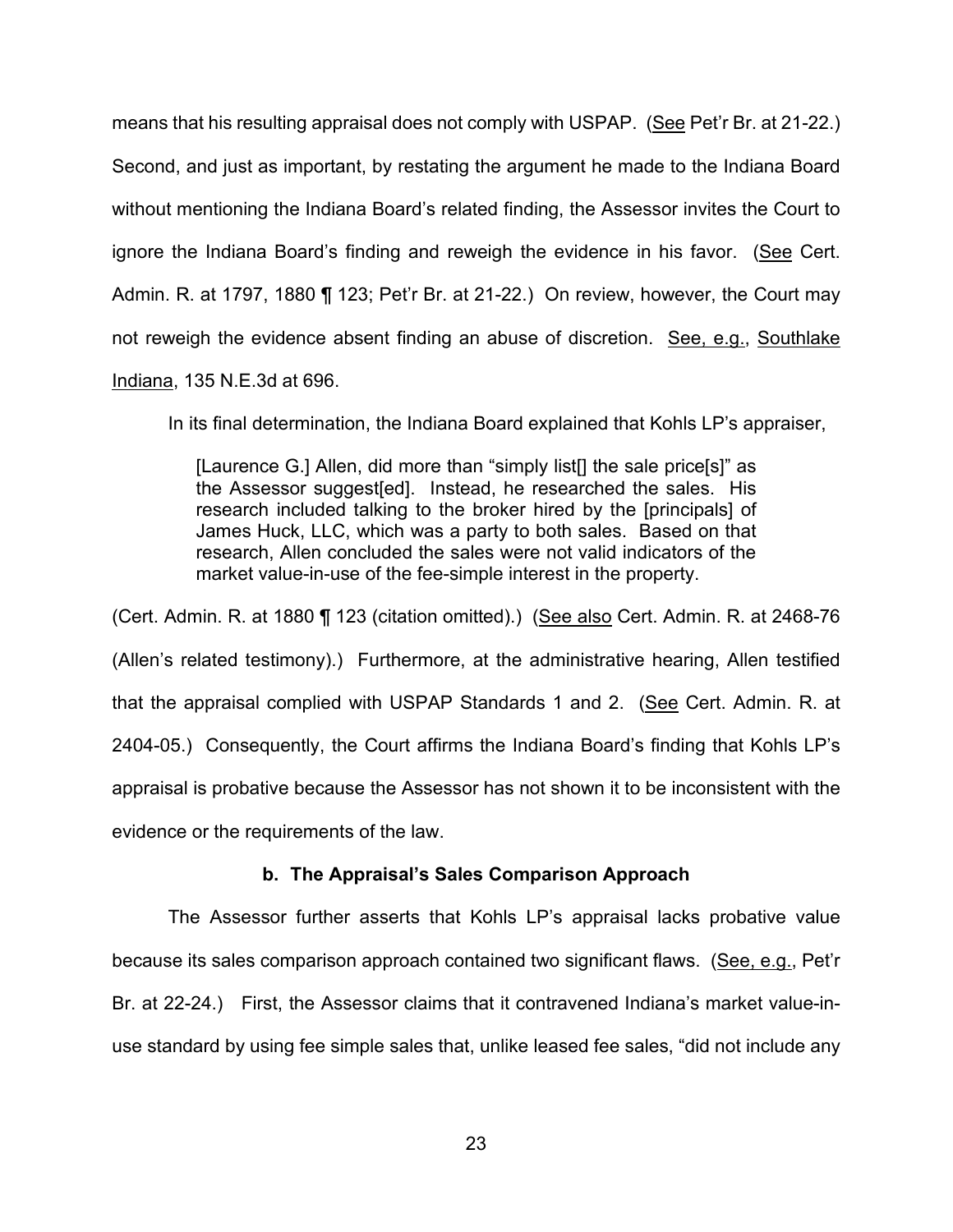means that his resulting appraisal does not comply with USPAP. (See Pet'r Br. at 21-22.) Second, and just as important, by restating the argument he made to the Indiana Board without mentioning the Indiana Board's related finding, the Assessor invites the Court to ignore the Indiana Board's finding and reweigh the evidence in his favor. (See Cert. Admin. R. at 1797, 1880 ¶ 123; Pet'r Br. at 21-22.) On review, however, the Court may not reweigh the evidence absent finding an abuse of discretion. See, e.g., Southlake Indiana, 135 N.E.3d at 696.

In its final determination, the Indiana Board explained that Kohls LP's appraiser,

[Laurence G.] Allen, did more than "simply list[] the sale price[s]" as the Assessor suggest[ed]. Instead, he researched the sales. His research included talking to the broker hired by the [principals] of James Huck, LLC, which was a party to both sales. Based on that research, Allen concluded the sales were not valid indicators of the market value-in-use of the fee-simple interest in the property.

(Cert. Admin. R. at 1880 ¶ 123 (citation omitted).) (See also Cert. Admin. R. at 2468-76 (Allen's related testimony).) Furthermore, at the administrative hearing, Allen testified that the appraisal complied with USPAP Standards 1 and 2. (See Cert. Admin. R. at 2404-05.) Consequently, the Court affirms the Indiana Board's finding that Kohls LP's appraisal is probative because the Assessor has not shown it to be inconsistent with the evidence or the requirements of the law.

# **b. The Appraisal's Sales Comparison Approach**

The Assessor further asserts that Kohls LP's appraisal lacks probative value because its sales comparison approach contained two significant flaws. (See, e.g., Pet'r Br. at 22-24.) First, the Assessor claims that it contravened Indiana's market value-inuse standard by using fee simple sales that, unlike leased fee sales, "did not include any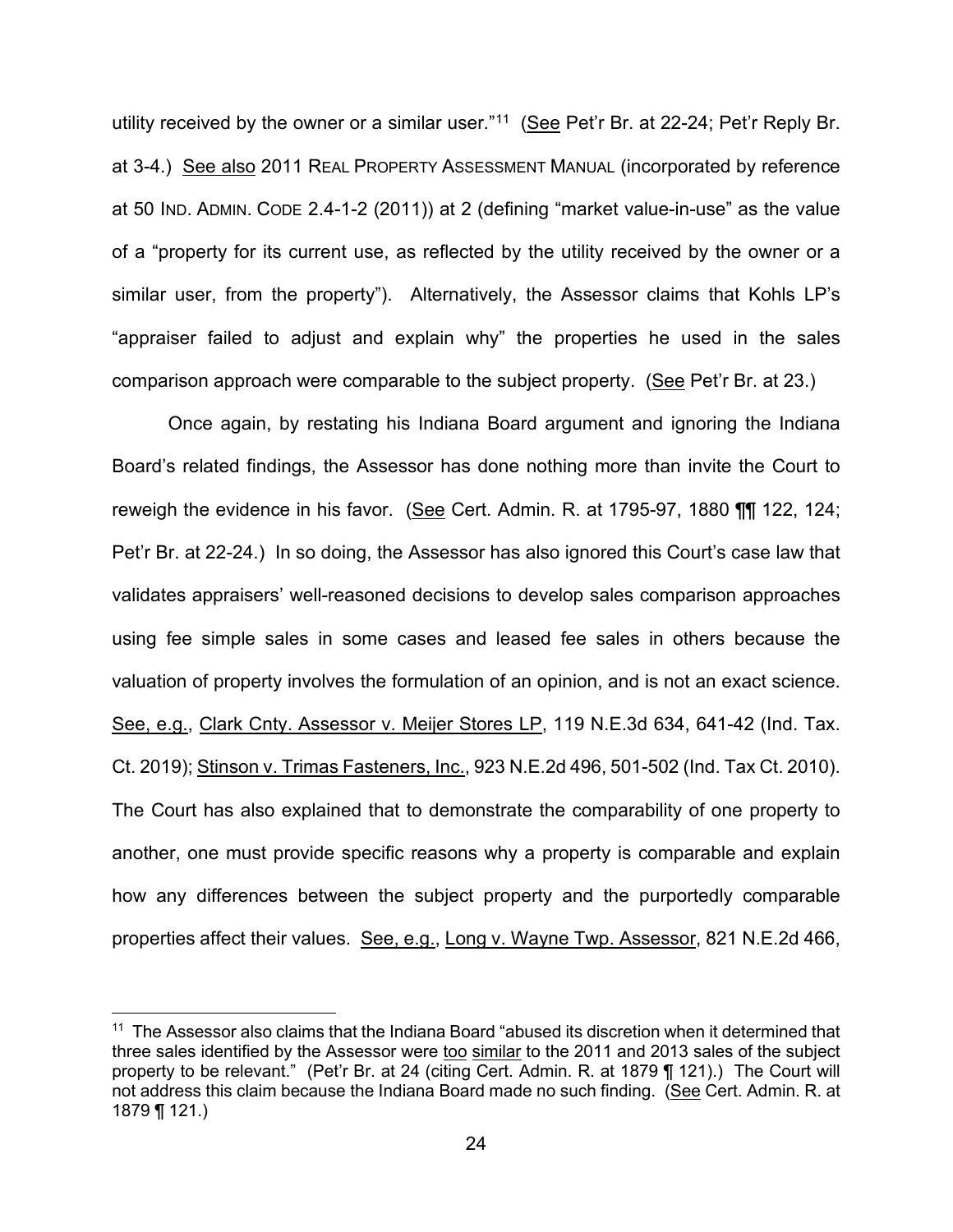utility received by the owner or a similar user."<sup>[11](#page-23-0)</sup> (See Pet'r Br. at 22-24; Pet'r Reply Br. at 3-4.) See also 2011 REAL PROPERTY ASSESSMENT MANUAL (incorporated by reference at 50 IND. ADMIN. CODE 2.4-1-2 (2011)) at 2 (defining "market value-in-use" as the value of a "property for its current use, as reflected by the utility received by the owner or a similar user, from the property"). Alternatively, the Assessor claims that Kohls LP's "appraiser failed to adjust and explain why" the properties he used in the sales comparison approach were comparable to the subject property. (See Pet'r Br. at 23.)

Once again, by restating his Indiana Board argument and ignoring the Indiana Board's related findings, the Assessor has done nothing more than invite the Court to reweigh the evidence in his favor. (See Cert. Admin. R. at 1795-97, 1880 ¶¶ 122, 124; Pet'r Br. at 22-24.) In so doing, the Assessor has also ignored this Court's case law that validates appraisers' well-reasoned decisions to develop sales comparison approaches using fee simple sales in some cases and leased fee sales in others because the valuation of property involves the formulation of an opinion, and is not an exact science. See, e.g., Clark Cnty. Assessor v. Meijer Stores LP, 119 N.E.3d 634, 641-42 (Ind. Tax. Ct. 2019); Stinson v. Trimas Fasteners, Inc., 923 N.E.2d 496, 501-502 (Ind. Tax Ct. 2010). The Court has also explained that to demonstrate the comparability of one property to another, one must provide specific reasons why a property is comparable and explain how any differences between the subject property and the purportedly comparable properties affect their values. See, e.g., Long v. Wayne Twp. Assessor, 821 N.E.2d 466,

<span id="page-23-0"></span><sup>&</sup>lt;sup>11</sup> The Assessor also claims that the Indiana Board "abused its discretion when it determined that three sales identified by the Assessor were too similar to the 2011 and 2013 sales of the subject property to be relevant." (Pet'r Br. at 24 (citing Cert. Admin. R. at 1879 ¶ 121).) The Court will not address this claim because the Indiana Board made no such finding. (See Cert. Admin. R. at 1879 ¶ 121.)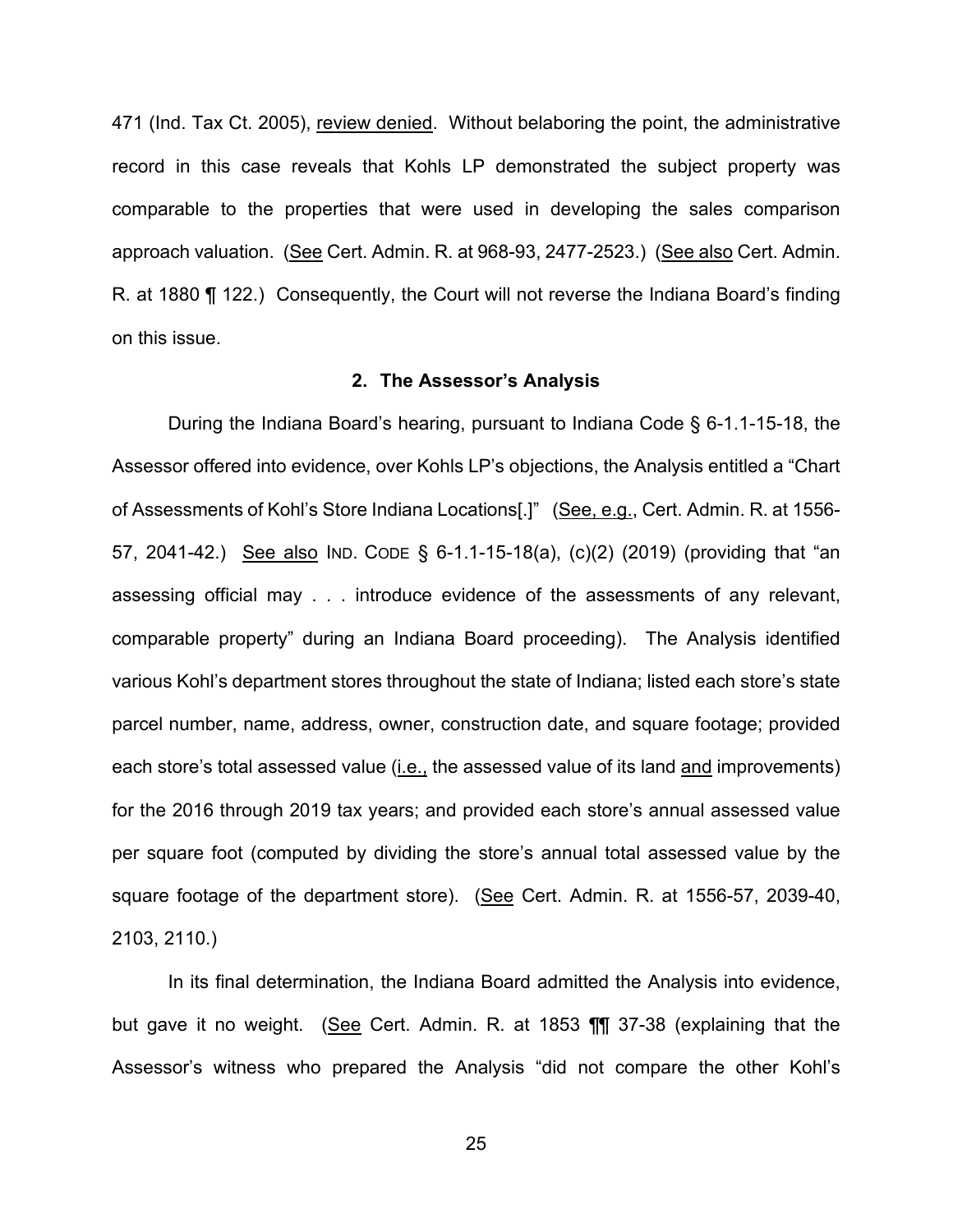471 (Ind. Tax Ct. 2005), review denied. Without belaboring the point, the administrative record in this case reveals that Kohls LP demonstrated the subject property was comparable to the properties that were used in developing the sales comparison approach valuation. (See Cert. Admin. R. at 968-93, 2477-2523.) (See also Cert. Admin. R. at 1880 ¶ 122.) Consequently, the Court will not reverse the Indiana Board's finding on this issue.

#### **2. The Assessor's Analysis**

During the Indiana Board's hearing, pursuant to Indiana Code § 6-1.1-15-18, the Assessor offered into evidence, over Kohls LP's objections, the Analysis entitled a "Chart of Assessments of Kohl's Store Indiana Locations[.]" (See, e.g., Cert. Admin. R. at 1556- 57, 2041-42.) See also IND. CODE § 6-1.1-15-18(a), (c)(2) (2019) (providing that "an assessing official may . . . introduce evidence of the assessments of any relevant, comparable property" during an Indiana Board proceeding). The Analysis identified various Kohl's department stores throughout the state of Indiana; listed each store's state parcel number, name, address, owner, construction date, and square footage; provided each store's total assessed value (i.e., the assessed value of its land and improvements) for the 2016 through 2019 tax years; and provided each store's annual assessed value per square foot (computed by dividing the store's annual total assessed value by the square footage of the department store). (See Cert. Admin. R. at 1556-57, 2039-40, 2103, 2110.)

In its final determination, the Indiana Board admitted the Analysis into evidence, but gave it no weight. (See Cert. Admin. R. at 1853 TI 37-38 (explaining that the Assessor's witness who prepared the Analysis "did not compare the other Kohl's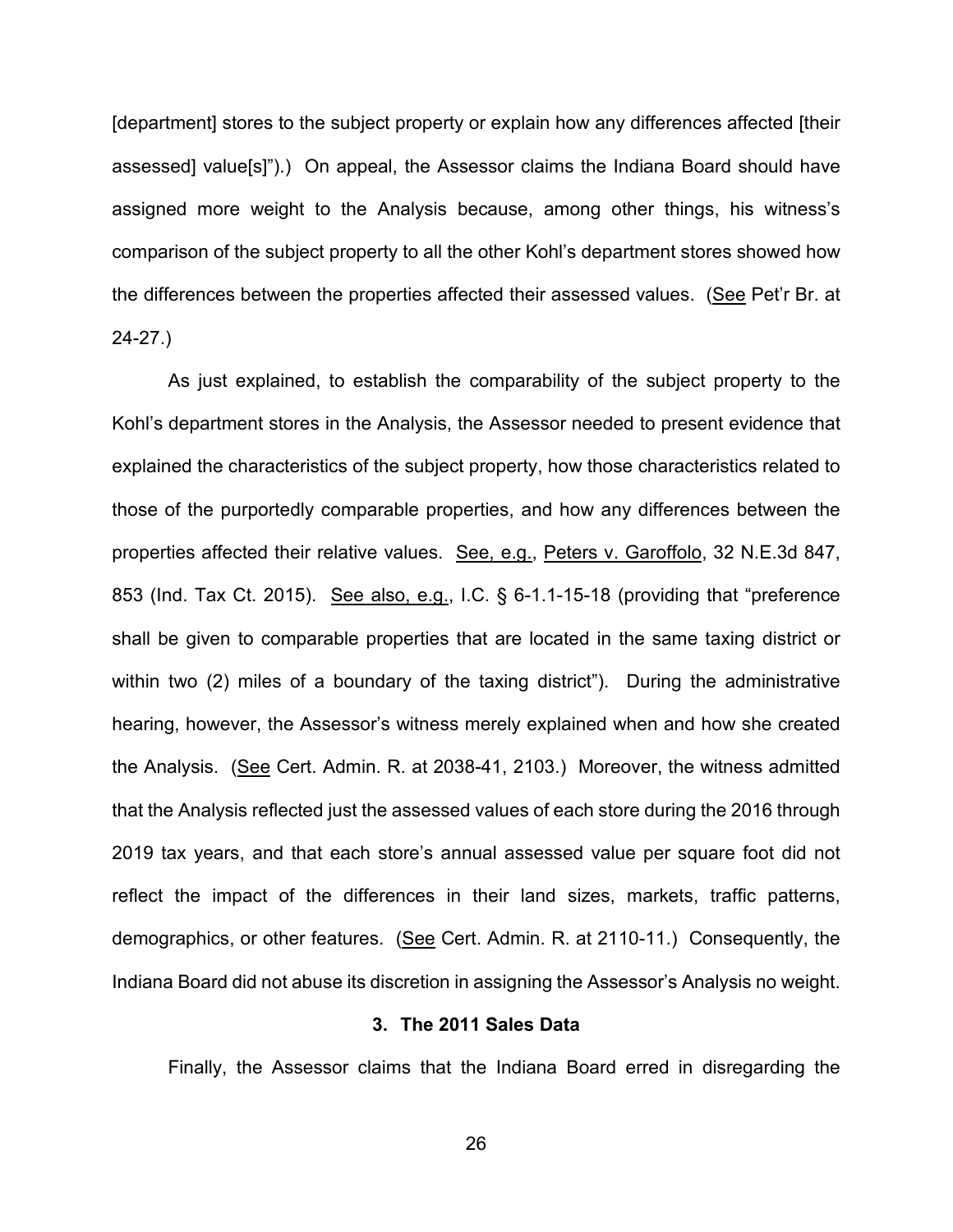[department] stores to the subject property or explain how any differences affected [their assessed] value[s]").) On appeal, the Assessor claims the Indiana Board should have assigned more weight to the Analysis because, among other things, his witness's comparison of the subject property to all the other Kohl's department stores showed how the differences between the properties affected their assessed values. (See Pet'r Br. at 24-27.)

As just explained, to establish the comparability of the subject property to the Kohl's department stores in the Analysis, the Assessor needed to present evidence that explained the characteristics of the subject property, how those characteristics related to those of the purportedly comparable properties, and how any differences between the properties affected their relative values. See, e.g., Peters v. Garoffolo, 32 N.E.3d 847, 853 (Ind. Tax Ct. 2015). See also, e.g., I.C. § 6-1.1-15-18 (providing that "preference shall be given to comparable properties that are located in the same taxing district or within two (2) miles of a boundary of the taxing district"). During the administrative hearing, however, the Assessor's witness merely explained when and how she created the Analysis. (See Cert. Admin. R. at 2038-41, 2103.) Moreover, the witness admitted that the Analysis reflected just the assessed values of each store during the 2016 through 2019 tax years, and that each store's annual assessed value per square foot did not reflect the impact of the differences in their land sizes, markets, traffic patterns, demographics, or other features. (See Cert. Admin. R. at 2110-11.) Consequently, the Indiana Board did not abuse its discretion in assigning the Assessor's Analysis no weight.

# **3. The 2011 Sales Data**

Finally, the Assessor claims that the Indiana Board erred in disregarding the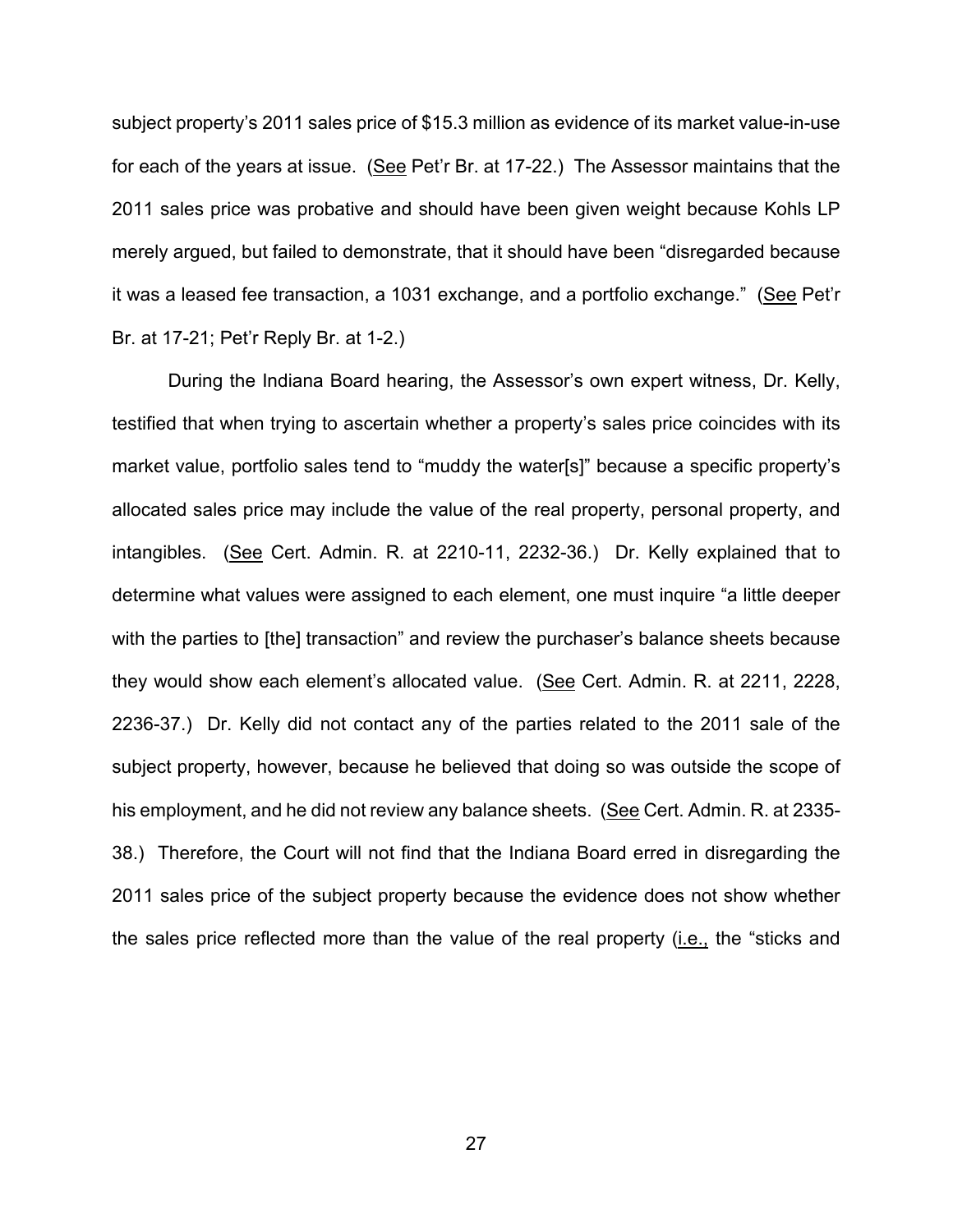subject property's 2011 sales price of \$15.3 million as evidence of its market value-in-use for each of the years at issue. (See Pet'r Br. at 17-22.) The Assessor maintains that the 2011 sales price was probative and should have been given weight because Kohls LP merely argued, but failed to demonstrate, that it should have been "disregarded because it was a leased fee transaction, a 1031 exchange, and a portfolio exchange." (See Pet'r Br. at 17-21; Pet'r Reply Br. at 1-2.)

During the Indiana Board hearing, the Assessor's own expert witness, Dr. Kelly, testified that when trying to ascertain whether a property's sales price coincides with its market value, portfolio sales tend to "muddy the water[s]" because a specific property's allocated sales price may include the value of the real property, personal property, and intangibles. (See Cert. Admin. R. at 2210-11, 2232-36.) Dr. Kelly explained that to determine what values were assigned to each element, one must inquire "a little deeper with the parties to [the] transaction" and review the purchaser's balance sheets because they would show each element's allocated value. (See Cert. Admin. R. at 2211, 2228, 2236-37.) Dr. Kelly did not contact any of the parties related to the 2011 sale of the subject property, however, because he believed that doing so was outside the scope of his employment, and he did not review any balance sheets. (See Cert. Admin. R. at 2335- 38.) Therefore, the Court will not find that the Indiana Board erred in disregarding the 2011 sales price of the subject property because the evidence does not show whether the sales price reflected more than the value of the real property (i.e., the "sticks and